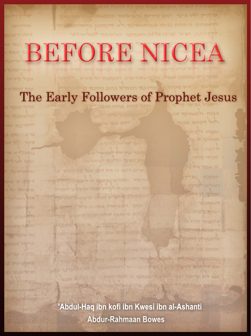# BEFORE NICEA

The Early Followers of Prophet Jesus

'Abdul-Haq ibn kofi ibn Kwesi ibn al-Ashanti **Abdur-Rahmaan Bowes**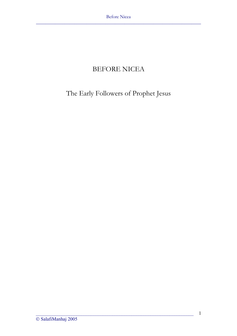## BEFORE NICEA

# The Early Followers of Prophet Jesus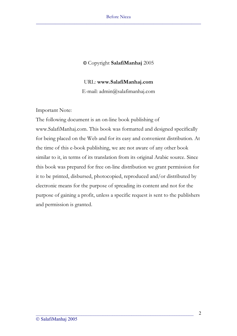### **©** Copyright **SalafiManhaj** 2005

#### URL: **www.SalafiManhaj.com**

E-mail: admin@salafimanhaj.com

Important Note:

The following document is an on-line book publishing of www.SalafiManhaj.com. This book was formatted and designed specifically for being placed on the Web and for its easy and convenient distribution. At the time of this e-book publishing, we are not aware of any other book similar to it, in terms of its translation from its original Arabic source. Since this book was prepared for free on-line distribution we grant permission for it to be printed, disbursed, photocopied, reproduced and/or distributed by electronic means for the purpose of spreading its content and not for the purpose of gaining a profit, unless a specific request is sent to the publishers and permission is granted.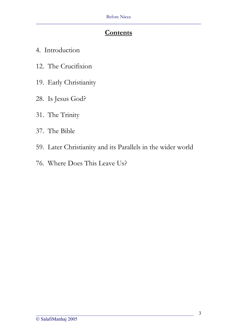## **Contents**

- 4. Introduction
- 12. The Crucifixion
- 19. Early Christianity
- 28. Is Jesus God?
- 31. The Trinity
- 37. The Bible
- 59. Later Christianity and its Parallels in the wider world

 $\overline{\phantom{a}}$  ,  $\overline{\phantom{a}}$  ,  $\overline{\phantom{a}}$  ,  $\overline{\phantom{a}}$  ,  $\overline{\phantom{a}}$  ,  $\overline{\phantom{a}}$  ,  $\overline{\phantom{a}}$  ,  $\overline{\phantom{a}}$  ,  $\overline{\phantom{a}}$  ,  $\overline{\phantom{a}}$  ,  $\overline{\phantom{a}}$  ,  $\overline{\phantom{a}}$  ,  $\overline{\phantom{a}}$  ,  $\overline{\phantom{a}}$  ,  $\overline{\phantom{a}}$  ,  $\overline{\phantom{a}}$ 

76. Where Does This Leave Us?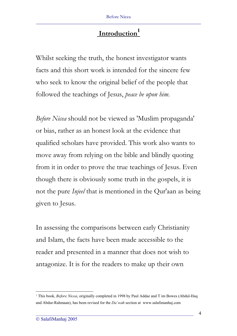# **<sup>1</sup> Introduction**

Whilst seeking the truth, the honest investigator wants facts and this short work is intended for the sincere few who seek to know the original belief of the people that followed the teachings of Jesus, *peace be upon him*.

*Before Nicea* should not be viewed as 'Muslim propaganda' or bias, rather as an honest look at the evidence that qualified scholars have provided. This work also wants to move away from relying on the bible and blindly quoting from it in order to prove the true teachings of Jesus. Even though there is obviously some truth in the gospels, it is not the pure *Injeel* that is mentioned in the Qur'aan as being given to Jesus.

In assessing the comparisons between early Christianity and Islam, the facts have been made accessible to the reader and presented in a manner that does not wish to antagonize. It is for the readers to make up their own

<sup>1</sup> This book, *Before Nicea*, originally completed in 1998 by Paul Addae and T im Bowes (Abdul-Haq and Abdur-Rahmaan), has been revised for the *Da'wah* section at www.salafimanhaj.com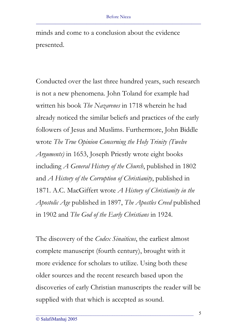minds and come to a conclusion about the evidence presented.

Conducted over the last three hundred years, such research is not a new phenomena. John Toland for example had written his book *The Nazarenes* in 1718 wherein he had already noticed the similar beliefs and practices of the early followers of Jesus and Muslims. Furthermore, John Biddle wrote *The True Opinion Concerning the Holy Trinity (Twelve Arguments)* in 1653, Joseph Priestly wrote eight books including *A General History of the Church*, published in 1802 and *A History of the Corruption of Christianity*, published in 1871. A.C. MacGiffert wrote *A History of Christianity in the Apostolic Age* published in 1897, *The Apostles Creed* published in 1902 and *The God of the Early Christians* in 1924.

The discovery of the *Codex Sinaiticus*, the earliest almost complete manuscript (fourth century), brought with it more evidence for scholars to utilize. Using both these older sources and the recent research based upon the discoveries of early Christian manuscripts the reader will be supplied with that which is accepted as sound.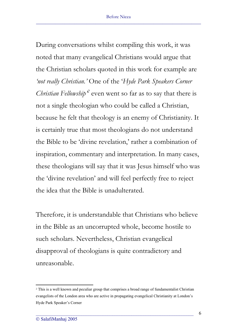During conversations whilst compiling this work, it was noted that many evangelical Christians would argue that the Christian scholars quoted in this work for example are *'not really Christian.'* One of the '*Hyde Park Speakers Corner Christian Fellowship'<sup>2</sup>* even went so far as to say that there is not a single theologian who could be called a Christian, because he felt that theology is an enemy of Christianity. It is certainly true that most theologians do not understand the Bible to be 'divine revelation,' rather a combination of inspiration, commentary and interpretation. In many cases, these theologians will say that it was Jesus himself who was the 'divine revelation' and will feel perfectly free to reject the idea that the Bible is unadulterated.

Therefore, it is understandable that Christians who believe in the Bible as an uncorrupted whole, become hostile to such scholars. Nevertheless, Christian evangelical disapproval of theologians is quite contradictory and unreasonable.

<sup>&</sup>lt;sup>2</sup> This is a well known and peculiar group that comprises a broad range of fundamentalist Christian evangelists of the London area who are active in propagating evangelical Christianity at London's Hyde Park Speaker's Corner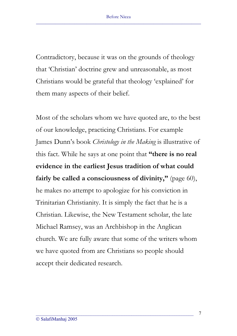Contradictory, because it was on the grounds of theology that 'Christian' doctrine grew and unreasonable, as most Christians would be grateful that theology 'explained' for them many aspects of their belief.

Most of the scholars whom we have quoted are, to the best of our knowledge, practicing Christians. For example James Dunn's book *Christology in the Making* is illustrative of this fact. While he says at one point that **"there is no real evidence in the earliest Jesus tradition of what could fairly be called a consciousness of divinity,"** (page 60), he makes no attempt to apologize for his conviction in Trinitarian Christianity. It is simply the fact that he is a Christian. Likewise, the New Testament scholar, the late Michael Ramsey, was an Archbishop in the Anglican church. We are fully aware that some of the writers whom we have quoted from are Christians so people should accept their dedicated research.

 $\overline{\phantom{a}}$  ,  $\overline{\phantom{a}}$  ,  $\overline{\phantom{a}}$  ,  $\overline{\phantom{a}}$  ,  $\overline{\phantom{a}}$  ,  $\overline{\phantom{a}}$  ,  $\overline{\phantom{a}}$  ,  $\overline{\phantom{a}}$  ,  $\overline{\phantom{a}}$  ,  $\overline{\phantom{a}}$  ,  $\overline{\phantom{a}}$  ,  $\overline{\phantom{a}}$  ,  $\overline{\phantom{a}}$  ,  $\overline{\phantom{a}}$  ,  $\overline{\phantom{a}}$  ,  $\overline{\phantom{a}}$ 

7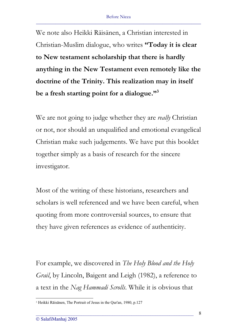We note also Heikki Räisänen, a Christian interested in Christian-Muslim dialogue, who writes **"Today it is clear to New testament scholarship that there is hardly anything in the New Testament even remotely like the doctrine of the Trinity. This realization may in itself be a fresh starting point for a dialogue."3**

We are not going to judge whether they are *really* Christian or not, nor should an unqualified and emotional evangelical Christian make such judgements. We have put this booklet together simply as a basis of research for the sincere investigator.

Most of the writing of these historians, researchers and scholars is well referenced and we have been careful, when quoting from more controversial sources, to ensure that they have given references as evidence of authenticity.

For example, we discovered in *The Holy Blood and the Holy Grail*, by Lincoln, Baigent and Leigh (1982), a reference to a text in the *Nag Hammadi Scrolls*. While it is obvious that

<sup>3</sup> Heikki Räisänen, The Portrait of Jesus in the Qur'an, 1980, p.127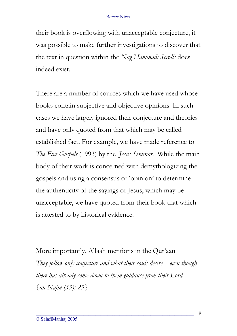their book is overflowing with unacceptable conjecture, it was possible to make further investigations to discover that the text in question within the *Nag Hammadi Scrolls* does indeed exist.

There are a number of sources which we have used whose books contain subjective and objective opinions. In such cases we have largely ignored their conjecture and theories and have only quoted from that which may be called established fact. For example, we have made reference to *The Five Gospels* (1993) by the *'Jesus Seminar.'* While the main body of their work is concerned with demythologizing the gospels and using a consensus of 'opinion' to determine the authenticity of the sayings of Jesus, which may be unacceptable, we have quoted from their book that which is attested to by historical evidence.

More importantly, Allaah mentions in the Qur'aan *They follow only conjecture and what their souls desire – even though there has already come down to them guidance from their Lord {an-Najm (53): 23}*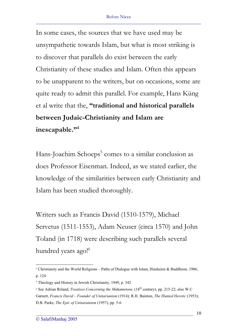In some cases, the sources that we have used may be unsympathetic towards Islam, but what is most striking is to discover that parallels do exist between the early Christianity of these studies and Islam. Often this appears to be unapparent to the writers, but on occasions, some are quite ready to admit this parallel. For example, Hans Küng et al write that the, **"traditional and historical parallels between Judaic-Christianity and Islam are inescapable."4**

Hans-Joachim Schoeps<sup>5</sup> comes to a similar conclusion as does Professor Eisenman. Indeed, as we stated earlier, the knowledge of the similarities between early Christianity and Islam has been studied thoroughly.

Writers such as Francis David (1510-1579), Michael Servetus (1511-1553), Adam Neuser (circa 1570) and John Toland (in 1718) were describing such parallels several hundred years ago!<sup>6</sup>

<sup>4</sup> Christianity and the World Religions – Paths of Dialogue with Islam, Hinduism & Buddhism, 1986, p. 124

<sup>5</sup> Theology and History in Jewish Christianity, 1949, p. 342

<sup>&</sup>lt;sup>6</sup> See Adrian Reland, *Treatises Concerning the Mahametons*, (18<sup>th</sup> century), pp. 215-22; also W.C Garnett, *Francis David – Founder of Unitarianism* (1914); R.H. Bainton, *The Hunted Heretic* (1953); D.B. Parke, *The Epic of Unitarainism* (1957), pp. 5-6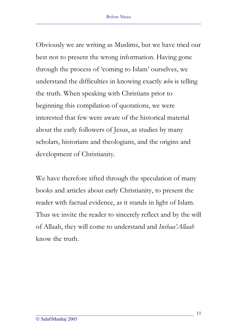Obviously we are writing as Muslims, but we have tried our best not to present the wrong information. Having gone through the process of 'coming to Islam' ourselves, we understand the difficulties in knowing exactly *who* is telling the truth. When speaking with Christians prior to beginning this compilation of quotations, we were interested that few were aware of the historical material about the early followers of Jesus, as studies by many scholars, historians and theologians, and the origins and development of Christianity.

We have therefore sifted through the speculation of many books and articles about early Christianity, to present the reader with factual evidence, as it stands in light of Islam. Thus we invite the reader to sincerely reflect and by the will of Allaah, they will come to understand and *Inshaa'Allaah* know the truth.

 $\overline{\phantom{a}}$  ,  $\overline{\phantom{a}}$  ,  $\overline{\phantom{a}}$  ,  $\overline{\phantom{a}}$  ,  $\overline{\phantom{a}}$  ,  $\overline{\phantom{a}}$  ,  $\overline{\phantom{a}}$  ,  $\overline{\phantom{a}}$  ,  $\overline{\phantom{a}}$  ,  $\overline{\phantom{a}}$  ,  $\overline{\phantom{a}}$  ,  $\overline{\phantom{a}}$  ,  $\overline{\phantom{a}}$  ,  $\overline{\phantom{a}}$  ,  $\overline{\phantom{a}}$  ,  $\overline{\phantom{a}}$ 

11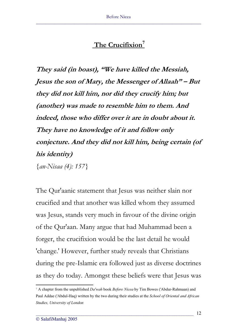## **<sup>7</sup> The Crucifixion**

**They said (in boast), "We have killed the Messiah, Jesus the son of Mary, the Messenger of Allaah" – But they did not kill him, nor did they crucify him; but (another) was made to resemble him to them. And indeed, those who differ over it are in doubt about it. They have no knowledge of it and follow only conjecture. And they did not kill him, being certain (of his identity)**  *{an-Nisaa (4): 157}* 

The Qur'aanic statement that Jesus was neither slain nor crucified and that another was killed whom they assumed was Jesus, stands very much in favour of the divine origin of the Qur'aan. Many argue that had Muhammad been a forger, the crucifixion would be the last detail he would 'change.' However, further study reveals that Christians during the pre-Islamic era followed just as diverse doctrines as they do today. Amongst these beliefs were that Jesus was

<sup>7</sup> A chapter from the unpublished *Da'wah* book *Before Nicea* by Tim Bowes ('Abdur-Rahmaan) and Paul Addae ('Abdul-Haq) written by the two during their studies at the *School of Oriental and African Studies, University of London*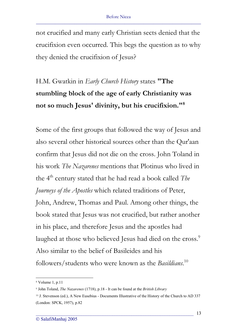not crucified and many early Christian sects denied that the crucifixion even occurred. This begs the question as to why they denied the crucifixion of Jesus?

# H.M. Gwatkin in *Early Church History* states **"The stumbling block of the age of early Christianity was not so much Jesus' divinity, but his crucifixion."8**

Some of the first groups that followed the way of Jesus and also several other historical sources other than the Qur'aan confirm that Jesus did not die on the cross. John Toland in his work *The Nazarenes* mentions that Plotinus who lived in the 4th century stated that he had read a book called *The Journeys of the Apostles* which related traditions of Peter, John, Andrew, Thomas and Paul. Among other things, the book stated that Jesus was not crucified, but rather another in his place, and therefore Jesus and the apostles had laughed at those who believed Jesus had died on the cross.<sup>9</sup> Also similar to the belief of Basileides and his followers/students who were known as the *Basildians*. 10

<sup>8</sup> Volume 1, p.11

<sup>9</sup> John Toland, *The Nazarenes* (1718), p.18 - It can be found at the *British Library*

<sup>10</sup> J. Stevenson (ed.), A New Eusebius - Documents Illustrative of the History of the Church to AD 337 (London: SPCK, 1957), p.82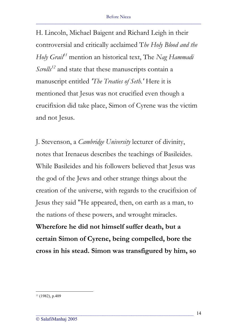H. Lincoln, Michael Baigent and Richard Leigh in their controversial and critically acclaimed T*he Holy Blood and the Holy Grail<sup>11</sup>* mention an historical text, The *Nag Hammadi Scrolls<sup>12</sup>* and state that these manuscripts contain a manuscript entitled *'The Treaties of Seth.'* Here it is mentioned that Jesus was not crucified even though a crucifixion did take place, Simon of Cyrene was the victim and not Jesus.

J. Stevenson, a *Cambridge University* lecturer of divinity, notes that Irenaeus describes the teachings of Basileides. While Basileides and his followers believed that Jesus was the god of the Jews and other strange things about the creation of the universe, with regards to the crucifixion of Jesus they said "He appeared, then, on earth as a man, to the nations of these powers, and wrought miracles. **Wherefore he did not himself suffer death, but a certain Simon of Cyrene, being compelled, bore the cross in his stead. Simon was transfigured by him, so** 

\_\_\_\_\_\_\_\_\_\_\_\_\_\_\_\_\_\_\_\_\_\_\_\_\_\_\_\_\_\_\_\_\_\_\_\_\_\_\_\_\_\_\_\_\_\_\_\_\_\_\_\_\_\_\_\_\_\_\_\_\_\_\_\_\_\_

14

<sup>11</sup> (1982), p.409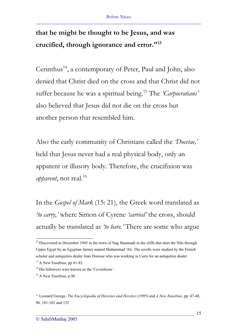# **that he might be thought to be Jesus, and was crucified, through ignorance and error."13**

Cerinthus<sup>14</sup>, a contemporary of Peter, Paul and John, also denied that Christ died on the cross and that Christ did not suffer because he was a spiritual being.15 The *'Carpocratians'* also believed that Jesus did not die on the cross but another person that resembled him.

Also the early community of Christians called the *'Docetae,'* held that Jesus never had a real physical body, only an apparent or illusory body. Therefore, the crucifixion was *apparent*, not real.<sup>16</sup>

In the *Gospel of Mark* (15: 21), the Greek word translated as *'to carry,'* where Simon of Cyrene *'carried'* the cross, should actually be translated as *'to bare.'* There are some who argue

 $12$  Discovered in December 1945 in the town of Nag Hammadi in the cliffs that skirt the Nile through Upper Egypt by an Egyptian farmer named Muhammad 'Ali. The scrolls were studied by the French scholar and antiquities dealer Jean Doresse who was working in Cairo for an antiquities dealer

<sup>&</sup>lt;sup>13</sup> A New Eusebius, pp 81-82

<sup>14</sup> His followers were known as the *'Cerinthians'*

<sup>&</sup>lt;sup>15</sup> A New Eusebius, p.96

<sup>16</sup> Leonard George, *The Encyclopedia of Heresies and Heretics* (1995) and *A New Eusebius*, pp. 47-48, 96, 101-102 and 152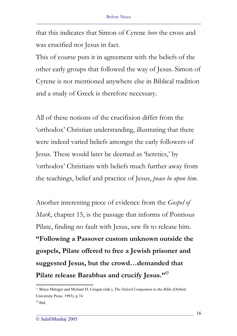that this indicates that Simon of Cyrene *bore* the cross and was crucified not Jesus in fact.

This of course puts it in agreement with the beliefs of the other early groups that followed the way of Jesus. Simon of Cyrene is not mentioned anywhere else in Biblical tradition and a study of Greek is therefore necessary.

All of these notions of the crucifixion differ from the 'orthodox' Christian understanding, illustrating that there were indeed varied beliefs amongst the early followers of Jesus. These would later be deemed as 'heretics,' by 'orthodox' Christians with beliefs much further away from the teachings, belief and practice of Jesus, *peace be upon him*.

Another interesting piece of evidence from the *Gospel of Mark*, chapter 15, is the passage that informs of Pontious Pilate, finding no fault with Jesus, saw fit to release him. **"Following a Passover custom unknown outside the gospels, Pilate offered to free a Jewish prisoner and suggested Jesus, but the crowd…demanded that Pilate release Barabbas and crucify Jesus."17**

<sup>17</sup> Bruce Metzger and Michael D. Coogan (eds.), *The Oxford Companion to the Bible* (Oxford University Press: 1993), p.74  $18$  ibid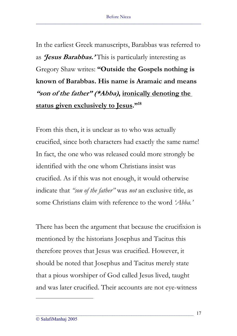In the earliest Greek manuscripts, Barabbas was referred to as **'Jesus Barabbas.'** This is particularly interesting as Gregory Shaw writes: **"Outside the Gospels nothing is known of Barabbas. His name is Aramaic and means "son of the father" (\*Abba), ironically denoting the status given exclusively to Jesus."18**

From this then, it is unclear as to who was actually crucified, since both characters had exactly the same name! In fact, the one who was released could more strongly be identified with the one whom Christians insist was crucified. As if this was not enough, it would otherwise indicate that *"son of the father"* was *not* an exclusive title, as some Christians claim with reference to the word *'Abba.'*

There has been the argument that because the crucifixion is mentioned by the historians Josephus and Tacitus this therefore proves that Jesus was crucified. However, it should be noted that Josephus and Tacitus merely state that a pious worshiper of God called Jesus lived, taught and was later crucified. Their accounts are not eye-witness

\_\_\_\_\_\_\_\_\_\_\_\_\_\_\_\_\_\_\_\_\_\_\_\_\_\_\_\_\_\_\_\_\_\_\_\_\_\_\_\_\_\_\_\_\_\_\_\_\_\_\_\_\_\_\_\_\_\_\_\_\_\_\_\_\_\_

17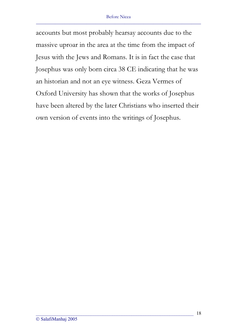accounts but most probably hearsay accounts due to the massive uproar in the area at the time from the impact of Jesus with the Jews and Romans. It is in fact the case that Josephus was only born circa 38 CE indicating that he was an historian and not an eye witness. Geza Vermes of Oxford University has shown that the works of Josephus have been altered by the later Christians who inserted their own version of events into the writings of Josephus.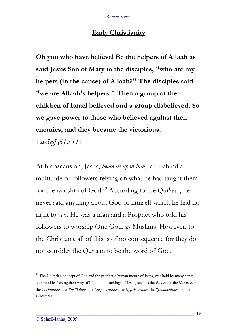## **Early Christianity**

**Oh you who have believe! Be the helpers of Allaah as said Jesus Son of Mary to the disciples, "who are my helpers (in the cause) of Allaah?" The disciples said "we are Allaah's helpers." Then a group of the children of Israel believed and a group disbelieved. So we gave power to those who believed against their enemies, and they became the victorious.** 

*{as-Saff (61): 14}* 

At his ascension, Jesus, *peace be upon him*, left behind a multitude of followers relying on what he had taught them for the worship of God.19 According to the Qur'aan, he never said anything about God or himself which he had no right to say. He was a man and a Prophet who told his followers to worship One God, as Muslims. However, to the Christians, all of this is of no consequence for they do not consider the Qur'aan to be the word of God.

<sup>&</sup>lt;sup>19</sup> The Unitarian concept of God and the prophetic human nature of Jesus, was held by many early communities basing their way of life on the teachings of Jesus, such as the *Ebionites*, the *Nazarenes*, the *Cerinthians*, the *Basilidians*, the *Carpocratians*, the *Hypsistarians*, the *Symmachians* and the *Elkesaites*.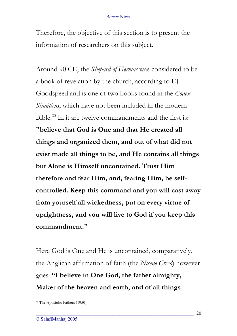Therefore, the objective of this section is to present the information of researchers on this subject.

Around 90 CE, the *Shepard of Hermas* was considered to be a book of revelation by the church, according to EJ Goodspeed and is one of two books found in the *Codex Sinaiticus*, which have not been included in the modern Bible.<sup>20</sup> In it are twelve commandments and the first is: **"believe that God is One and that He created all things and organized them, and out of what did not exist made all things to be, and He contains all things but Alone is Himself uncontained. Trust Him therefore and fear Him, and, fearing Him, be selfcontrolled. Keep this command and you will cast away from yourself all wickedness, put on every virtue of uprightness, and you will live to God if you keep this commandment."**

Here God is One and He is uncontained, comparatively, the Anglican affirmation of faith (the *Nicene Creed*) however goes: **"I believe in One God, the father almighty, Maker of the heaven and earth, and of all things** 

<sup>20</sup> The Apostolic Fathers (1950)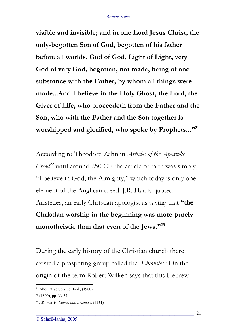**visible and invisible; and in one Lord Jesus Christ, the only-begotten Son of God, begotten of his father before all worlds, God of God, Light of Light, very God of very God, begotten, not made, being of one substance with the Father, by whom all things were made...And I believe in the Holy Ghost, the Lord, the Giver of Life, who proceedeth from the Father and the Son, who with the Father and the Son together is**  worshipped and glorified, who spoke by Prophets..."<sup>21</sup>

According to Theodore Zahn in *Articles of the Apostolic Creed*<sup> $22$ </sup> until around 250 CE the article of faith was simply, "I believe in God, the Almighty," which today is only one element of the Anglican creed. J.R. Harris quoted Aristedes, an early Christian apologist as saying that **"the Christian worship in the beginning was more purely monotheistic than that even of the Jews."23**

During the early history of the Christian church there existed a prospering group called the *'Ebionites.'* On the origin of the term Robert Wilken says that this Hebrew

<sup>21</sup> Alternative Service Book, (1980)

<sup>22</sup> (1899), pp. 33-37

<sup>23</sup> J.R. Harris, *Celsus and Aristedes* (1921)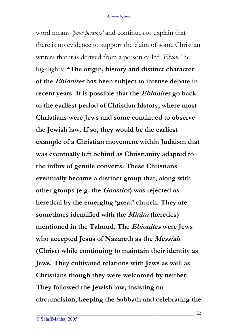word means *'poor persons'* and continues to explain that there is no evidence to support the claim of some Christian writers that it is derived from a person called *'Ebion,'* he highlights: **"The origin, history and distinct character of the Ebionites has been subject to intense debate in recent years. It is possible that the Ebionites go back to the earliest period of Christian history, where most Christians were Jews and some continued to observe the Jewish law. If so, they would be the earliest example of a Christian movement within Judaism that was eventually left behind as Christianity adapted to the influx of gentile converts. These Christians eventually became a distinct group that, along with other groups (e.g. the Gnostics) was rejected as heretical by the emerging 'great' church. They are sometimes identified with the Minim (heretics) mentioned in the Talmud. The Ebionites were Jews who accepted Jesus of Nazareth as the Messiah (Christ) while continuing to maintain their identity as Jews. They cultivated relations with Jews as well as Christians though they were welcomed by neither. They followed the Jewish law, insisting on circumcision, keeping the Sabbath and celebrating the**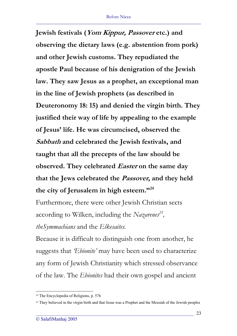**Jewish festivals (Yom Kippur, Passover etc.) and observing the dietary laws (e.g. abstention from pork) and other Jewish customs. They repudiated the apostle Paul because of his denigration of the Jewish law. They saw Jesus as a prophet, an exceptional man in the line of Jewish prophets (as described in Deuteronomy 18: 15) and denied the virgin birth. They justified their way of life by appealing to the example of Jesus' life. He was circumcised, observed the Sabbath and celebrated the Jewish festivals, and taught that all the precepts of the law should be observed.** They celebrated *Easter* on the same day **that the Jews celebrated the Passover, and they held the city of Jerusalem in high esteem."24**

Furthermore, there were other Jewish Christian sects according to Wilken, including the *Nazarenes25 , theSymmachians* and the *Elkesaites.*

Because it is difficult to distinguish one from another, he suggests that *'Ebionite'* may have been used to characterize any form of Jewish Christianity which stressed observance of the law. The *Ebionites* had their own gospel and ancient

<sup>24</sup> The Encyclopedia of Religions, p. 576

<sup>&</sup>lt;sup>25</sup> They believed in the virgin birth and that Jesus was a Prophet and the Messiah of the Jewish peoples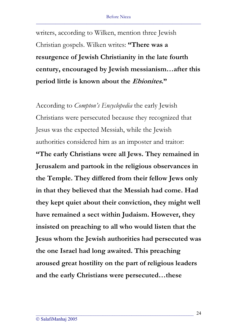writers, according to Wilken, mention three Jewish Christian gospels. Wilken writes: **"There was a resurgence of Jewish Christianity in the late fourth century, encouraged by Jewish messianism…after this period little is known about the Ebionites."**

According to *Compton's Encyclopedia* the early Jewish Christians were persecuted because they recognized that Jesus was the expected Messiah, while the Jewish authorities considered him as an imposter and traitor: **"The early Christians were all Jews. They remained in Jerusalem and partook in the religious observances in the Temple. They differed from their fellow Jews only in that they believed that the Messiah had come. Had they kept quiet about their conviction, they might well have remained a sect within Judaism. However, they insisted on preaching to all who would listen that the Jesus whom the Jewish authorities had persecuted was the one Israel had long awaited. This preaching aroused great hostility on the part of religious leaders and the early Christians were persecuted…these** 

\_\_\_\_\_\_\_\_\_\_\_\_\_\_\_\_\_\_\_\_\_\_\_\_\_\_\_\_\_\_\_\_\_\_\_\_\_\_\_\_\_\_\_\_\_\_\_\_\_\_\_\_\_\_\_\_\_\_\_\_\_\_\_\_\_\_

24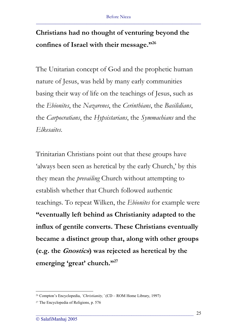# **Christians had no thought of venturing beyond the confines of Israel with their message."26**

The Unitarian concept of God and the prophetic human nature of Jesus, was held by many early communities basing their way of life on the teachings of Jesus, such as the *Ebionites*, the *Nazarenes*, the *Cerinthians*, the *Basilidians*, the *Carpocratians*, the *Hypsistarians*, the *Symmachians* and the *Elkesaites*.

Trinitarian Christians point out that these groups have 'always been seen as heretical by the early Church,' by this they mean the *prevailing* Church without attempting to establish whether that Church followed authentic teachings. To repeat Wilken, the *Ebionites* for example were **"eventually left behind as Christianity adapted to the influx of gentile converts. These Christians eventually became a distinct group that, along with other groups (e.g. the Gnostics) was rejected as heretical by the emerging 'great' church."27**

<sup>26</sup> Compton's Encyclopedia, *'Christianity,'* (CD – ROM Home Library, 1997)

<sup>27</sup> The Encyclopedia of Religions, p. 576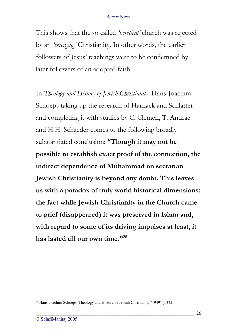This shows that the so called *'heretical'* church was rejected by an *'emerging'* Christianity. In other words, the earlier followers of Jesus' teachings were to be condemned by later followers of an adopted faith.

In *Theology and History of Jewish Christianity,* Hans-Joachim Schoeps taking up the research of Harnack and Schlatter and completing it with studies by C. Clemen, T. Andrae and H.H. Schaeder comes to the following broadly substantiated conclusion: **"Though it may not be possible to establish exact proof of the connection, the indirect dependence of Muhammad on sectarian Jewish Christianity is beyond any doubt. This leaves us with a paradox of truly world historical dimensions: the fact while Jewish Christianity in the Church came to grief (disappeared) it was preserved in Islam and, with regard to some of its driving impulses at least, it has lasted till our own time."28**

<sup>28</sup> Hans-Joachim Schoeps, Theology and History of Jewish Christianity (1949), p.342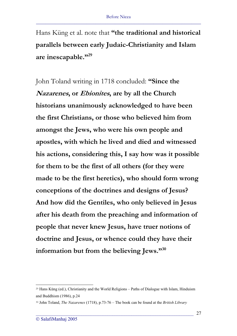Hans Küng et al. note that **"the traditional and historical parallels between early Judaic-Christianity and Islam are inescapable."29**

John Toland writing in 1718 concluded: **"Since the Nazarenes, or Ebionites, are by all the Church historians unanimously acknowledged to have been the first Christians, or those who believed him from amongst the Jews, who were his own people and apostles, with which he lived and died and witnessed his actions, considering this, I say how was it possible for them to be the first of all others (for they were made to be the first heretics), who should form wrong conceptions of the doctrines and designs of Jesus? And how did the Gentiles, who only believed in Jesus after his death from the preaching and information of people that never knew Jesus, have truer notions of doctrine and Jesus, or whence could they have their information but from the believing Jews."30**

<sup>29</sup> Hans Küng (ed.), Christianity and the World Religions – Paths of Dialogue with Islam, Hinduism and Buddhism (1986), p.24

<sup>30</sup> John Toland, *The Nazarenes* (1718), p.73-76 – The book can be found at the *British Library*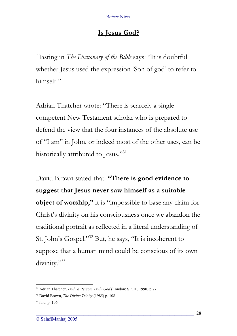## **Is Jesus God?**

Hasting in *The Dictionary of the Bible* says: "It is doubtful whether Jesus used the expression 'Son of god' to refer to himself."

Adrian Thatcher wrote: "There is scarcely a single competent New Testament scholar who is prepared to defend the view that the four instances of the absolute use of "I am" in John, or indeed most of the other uses, can be historically attributed to Jesus."<sup>31</sup>

David Brown stated that: **"There is good evidence to suggest that Jesus never saw himself as a suitable object of worship,"** it is "impossible to base any claim for Christ's divinity on his consciousness once we abandon the traditional portrait as reflected in a literal understanding of St. John's Gospel."32 But, he says, "It is incoherent to suppose that a human mind could be conscious of its own divinity."<sup>33</sup>

<sup>31</sup> Adrian Thatcher, *Truly a Person, Truly God* (London: SPCK, 1990) p.77

<sup>32</sup> David Brown, *The Divine Trinity* (1985) p. 108

<sup>33</sup> ibid. p. 106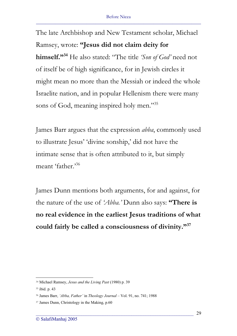The late Archbishop and New Testament scholar, Michael Ramsey, wrote: **"Jesus did not claim deity for himself."34** He also stated: "The title *'Son of God'* need not of itself be of high significance, for in Jewish circles it might mean no more than the Messiah or indeed the whole Israelite nation, and in popular Hellenism there were many sons of God, meaning inspired holy men."<sup>35</sup>

James Barr argues that the expression *abba*, commonly used to illustrate Jesus' 'divine sonship,' did not have the intimate sense that is often attributed to it, but simply meant 'father.'<sup>36</sup>

James Dunn mentions both arguments, for and against, for the nature of the use of *'Abba.'* Dunn also says: **"There is no real evidence in the earliest Jesus traditions of what could fairly be called a consciousness of divinity."37**

<sup>34</sup> Michael Ramsey, *Jesus and the Living Past* (1980) p. 39

<sup>35</sup> ibid. p. 43

<sup>36</sup> James Barr, *'Abba, Father'* in *Theology Journal* – Vol. 91, no. 741; 1988

<sup>37</sup> James Dunn, Christology in the Making, p.60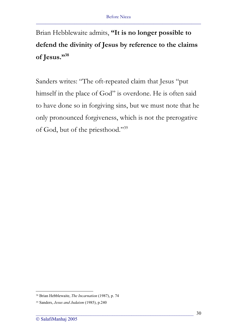Brian Hebblewaite admits, **"It is no longer possible to defend the divinity of Jesus by reference to the claims of Jesus."38**

Sanders writes: "The oft-repeated claim that Jesus "put himself in the place of God" is overdone. He is often said to have done so in forgiving sins, but we must note that he only pronounced forgiveness, which is not the prerogative of God, but of the priesthood."39

<sup>38</sup> Brian Hebblewaite, *The Incarnation* (1987), p. 74

<sup>39</sup> Sanders, *Jesus and Judaism* (1985), p.240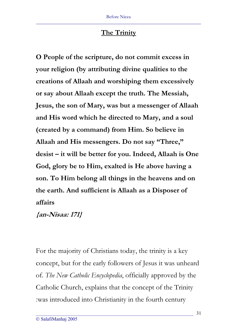## **The Trinity**

**O People of the scripture, do not commit excess in your religion (by attributing divine qualities to the creations of Allaah and worshiping them excessively or say about Allaah except the truth. The Messiah, Jesus, the son of Mary, was but a messenger of Allaah and His word which he directed to Mary, and a soul (created by a command) from Him. So believe in Allaah and His messengers. Do not say "Three," desist – it will be better for you. Indeed, Allaah is One God, glory be to Him, exalted is He above having a son. To Him belong all things in the heavens and on the earth. And sufficient is Allaah as a Disposer of affairs**

## **{an-Nisaa: 171}**

For the majority of Christians today, the trinity is a key concept, but for the early followers of Jesus it was unheard of. *The New Catholic Encyclopedia*, officially approved by the Catholic Church, explains that the concept of the Trinity :was introduced into Christianity in the fourth century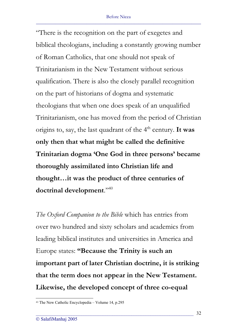"There is the recognition on the part of exegetes and biblical theologians, including a constantly growing number of Roman Catholics, that one should not speak of Trinitarianism in the New Testament without serious qualification. There is also the closely parallel recognition on the part of historians of dogma and systematic theologians that when one does speak of an unqualified Trinitarianism, one has moved from the period of Christian origins to, say, the last quadrant of the 4<sup>th</sup> century. It was **only then that what might be called the definitive Trinitarian dogma 'One God in three persons' became thoroughly assimilated into Christian life and thought…it was the product of three centuries of doctrinal development**."40

*The Oxford Companion to the Bible* which has entries from over two hundred and sixty scholars and academics from leading biblical institutes and universities in America and Europe states: **"Because the Trinity is such an important part of later Christian doctrine, it is striking that the term does not appear in the New Testament. Likewise, the developed concept of three co-equal** 

<sup>40</sup> The New Catholic Encyclopedia – Volume 14, p.295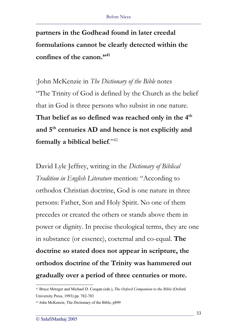**partners in the Godhead found in later creedal formulations cannot be clearly detected within the confines of the canon."41**

 :John McKenzie in *The Dictionary of the Bible* notes "The Trinity of God is defined by the Church as the belief that in God is three persons who subsist in one nature. **That belief as so defined was reached only in the 4th and 5th centuries AD and hence is not explicitly and formally a biblical belief**."42

David Lyle Jeffrey, writing in the *Dictionary of Biblical Tradition in English Literature* mention: "According to orthodox Christian doctrine, God is one nature in three persons: Father, Son and Holy Spirit. No one of them precedes or created the others or stands above them in power or dignity. In precise theological terms, they are one in substance (or essence), coeternal and co-equal. **The doctrine so stated does not appear in scripture, the orthodox doctrine of the Trinity was hammered out gradually over a period of three centuries or more.** 

<sup>41</sup> Bruce Metzger and Michael D. Coogan (eds.), *The Oxford Companion to the Bible* (Oxford University Press, 1993) pp. 782-783

<sup>42</sup> John McKenzie, The Dictionary of the Bible, p899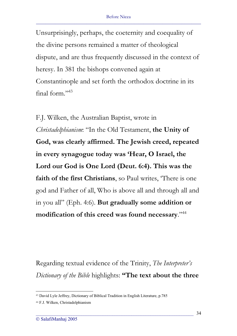Unsurprisingly, perhaps, the coeternity and coequality of the divine persons remained a matter of theological dispute, and are thus frequently discussed in the context of heresy. In 381 the bishops convened again at Constantinople and set forth the orthodox doctrine in its final form."43

F.J. Wilken, the Australian Baptist, wrote in *Christadelphianism*: "In the Old Testament, **the Unity of God, was clearly affirmed. The Jewish creed, repeated in every synagogue today was 'Hear, O Israel, the Lord our God is One Lord (Deut. 6:4). This was the faith of the first Christians**, so Paul writes, 'There is one god and Father of all, Who is above all and through all and in you all" (Eph. 4:6). **But gradually some addition or modification of this creed was found necessary**."44

Regarding textual evidence of the Trinity, *The Interpreter's Dictionary of the Bible* highlights: **"The text about the three** 

<sup>43</sup> David Lyle Jeffrey, Dictionary of Biblical Tradition in English Literature, p.785

<sup>44</sup> F.J. Wilken, Christadelphianism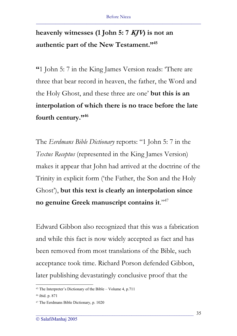# **heavenly witnesses (1 John 5: 7 KJV) is not an authentic part of the New Testament."45**

**"**1 John 5: 7 in the King James Version reads: 'There are three that bear record in heaven, the father, the Word and the Holy Ghost, and these three are one' **but this is an interpolation of which there is no trace before the late fourth century."46**

The *Eerdmans Bible Dictionary* reports: "1 John 5: 7 in the *Textus Receptus* (represented in the King James Version) makes it appear that John had arrived at the doctrine of the Trinity in explicit form ('the Father, the Son and the Holy Ghost'), **but this text is clearly an interpolation since no genuine Greek manuscript contains it**."47

Edward Gibbon also recognized that this was a fabrication and while this fact is now widely accepted as fact and has been removed from most translations of the Bible, such acceptance took time. Richard Porson defended Gibbon, later publishing devastatingly conclusive proof that the

<sup>45</sup> The Interpreter's Dictionary of the Bible – Volume 4, p.711

<sup>46</sup> ibid. p. 871

<sup>47</sup> The Eerdmans Bible Dictionary, p. 1020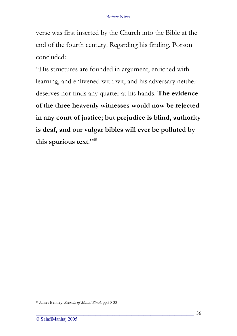verse was first inserted by the Church into the Bible at the end of the fourth century. Regarding his finding, Porson concluded:

"His structures are founded in argument, enriched with learning, and enlivened with wit, and his adversary neither deserves nor finds any quarter at his hands. **The evidence of the three heavenly witnesses would now be rejected in any court of justice; but prejudice is blind, authority is deaf, and our vulgar bibles will ever be polluted by this spurious text**."48

<sup>48</sup> James Bentley, *Secrets of Mount Sinai*, pp.30-33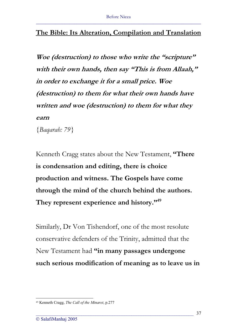### **The Bible: Its Alteration, Compilation and Translation**

**Woe (destruction) to those who write the "scripture" with their own hands, then say "This is from Allaah," in order to exchange it for a small price. Woe (destruction) to them for what their own hands have written and woe (destruction) to them for what they earn**

*{Baqarah: 79}* 

Kenneth Cragg states about the New Testament, **"There is condensation and editing, there is choice production and witness. The Gospels have come through the mind of the church behind the authors. They represent experience and history."49**

Similarly, Dr Von Tishendorf, one of the most resolute conservative defenders of the Trinity, admitted that the New Testament had **"in many passages undergone such serious modification of meaning as to leave us in** 

<sup>49</sup> Kenneth Cragg, *The Call of the Minaret*, p.277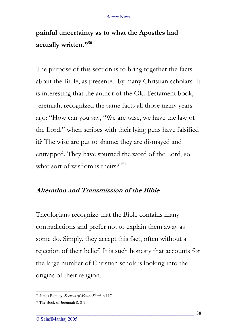### **painful uncertainty as to what the Apostles had actually written."50**

The purpose of this section is to bring together the facts about the Bible, as presented by many Christian scholars. It is interesting that the author of the Old Testament book, Jeremiah, recognized the same facts all those many years ago: "How can you say, "We are wise, we have the law of the Lord," when scribes with their lying pens have falsified it? The wise are put to shame; they are dismayed and entrapped. They have spurned the word of the Lord, so what sort of wisdom is theirs?"<sup>51</sup>

#### **Alteration and Transmission of the Bible**

Theologians recognize that the Bible contains many contradictions and prefer not to explain them away as some do. Simply, they accept this fact, often without a rejection of their belief. It is such honesty that accounts for the large number of Christian scholars looking into the origins of their religion.

<sup>50</sup> James Bentley, *Secrets of Mount Sinai*, p.117

<sup>51</sup> The Book of Jeremiah 8: 8-9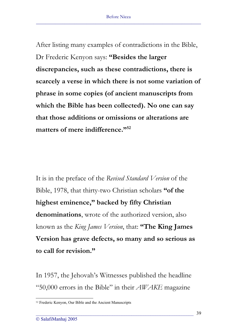After listing many examples of contradictions in the Bible, Dr Frederic Kenyon says: **"Besides the larger discrepancies, such as these contradictions, there is scarcely a verse in which there is not some variation of phrase in some copies (of ancient manuscripts from which the Bible has been collected). No one can say that those additions or omissions or alterations are matters of mere indifference."52**

It is in the preface of the *Revised Standard Version* of the Bible, 1978, that thirty-two Christian scholars **"of the highest eminence," backed by fifty Christian denominations**, wrote of the authorized version, also known as the *King James Version*, that: **"The King James Version has grave defects, so many and so serious as to call for revision."** 

In 1957, the Jehovah's Witnesses published the headline "50,000 errors in the Bible" in their *AWAKE* magazine

<sup>52</sup> Frederic Kenyon, Our Bible and the Ancient Manuscripts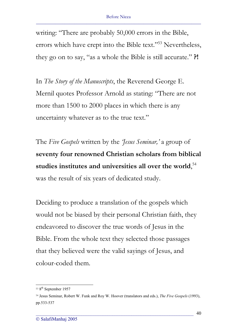writing: "There are probably 50,000 errors in the Bible, errors which have crept into the Bible text."53 Nevertheless, they go on to say, "as a whole the Bible is still accurate." **?!**

In *The Story of the Manuscripts*, the Reverend George E. Mernil quotes Professor Arnold as stating: "There are not more than 1500 to 2000 places in which there is any uncertainty whatever as to the true text."

The *Five Gospels* written by the *'Jesus Seminar,'* a group of **seventy four renowned Christian scholars from biblical studies institutes and universities all over the world**, 54 was the result of six years of dedicated study.

Deciding to produce a translation of the gospels which would not be biased by their personal Christian faith, they endeavored to discover the true words of Jesus in the Bible. From the whole text they selected those passages that they believed were the valid sayings of Jesus, and colour-coded them.

<sup>53 8&</sup>lt;sup>th</sup> September 1957

<sup>54</sup> Jesus Seminar, Robert W. Funk and Roy W. Hoover (translators and eds.), *The Five Gospels* (1993), pp.533-537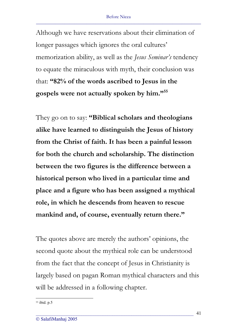Although we have reservations about their elimination of longer passages which ignores the oral cultures' memorization ability, as well as the *Jesus Seminar's* tendency to equate the miraculous with myth, their conclusion was that: **"82% of the words ascribed to Jesus in the gospels were not actually spoken by him."55**

They go on to say: **"Biblical scholars and theologians alike have learned to distinguish the Jesus of history from the Christ of faith. It has been a painful lesson for both the church and scholarship. The distinction between the two figures is the difference between a historical person who lived in a particular time and place and a figure who has been assigned a mythical role, in which he descends from heaven to rescue mankind and, of course, eventually return there."** 

The quotes above are merely the authors' opinions, the second quote about the mythical role can be understood from the fact that the concept of Jesus in Christianity is largely based on pagan Roman mythical characters and this will be addressed in a following chapter.

<sup>55</sup> ibid. p.5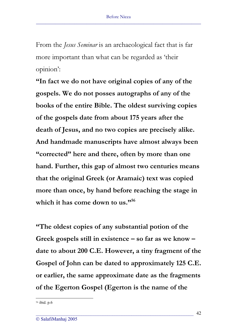From the *Jesus Seminar* is an archaeological fact that is far more important than what can be regarded as 'their opinion':

**"In fact we do not have original copies of any of the gospels. We do not posses autographs of any of the books of the entire Bible. The oldest surviving copies of the gospels date from about 175 years after the death of Jesus, and no two copies are precisely alike. And handmade manuscripts have almost always been "corrected" here and there, often by more than one hand. Further, this gap of almost two centuries means that the original Greek (or Aramaic) text was copied more than once, by hand before reaching the stage in**  which it has come down to us."<sup>56</sup>

**"The oldest copies of any substantial potion of the Greek gospels still in existence – so far as we know – date to about 200 C.E. However, a tiny fragment of the Gospel of John can be dated to approximately 125 C.E. or earlier, the same approximate date as the fragments of the Egerton Gospel (Egerton is the name of the** 

<sup>56</sup> ibid. p.6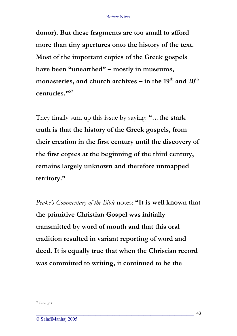**donor). But these fragments are too small to afford more than tiny apertures onto the history of the text. Most of the important copies of the Greek gospels have been "unearthed" – mostly in museums,**  monasteries, and church archives – in the 19<sup>th</sup> and 20<sup>th</sup> **centuries."57**

They finally sum up this issue by saying: **"…the stark truth is that the history of the Greek gospels, from their creation in the first century until the discovery of the first copies at the beginning of the third century, remains largely unknown and therefore unmapped territory."**

*Peake's Commentary of the Bible* notes: **"It is well known that the primitive Christian Gospel was initially transmitted by word of mouth and that this oral tradition resulted in variant reporting of word and deed. It is equally true that when the Christian record was committed to writing, it continued to be the** 

<sup>57</sup> ibid. p.9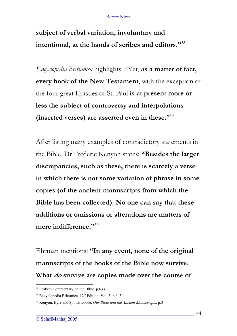**subject of verbal variation, involuntary and intentional, at the hands of scribes and editors."58**

*Encyclopedia Brittanica* highlights: "Yet, **as a matter of fact, every book of the New Testament**, with the exception of the four great Epistles of St. Paul **is at present more or less the subject of controversy and interpolations (inserted verses) are asserted even in these.**"59

After listing many examples of contradictory statements in the Bible, Dr Frederic Kenyon states: **"Besides the larger discrepancies, such as these, there is scarcely a verse in which there is not some variation of phrase in some copies (of the ancient manuscripts from which the Bible has been collected). No one can say that these additions or omissions or alterations are matters of**  mere indifference."<sup>60</sup>

Ehrman mentions: **"In any event, none of the original manuscripts of the books of the Bible now survive. What do survive are copies made over the course of** 

<sup>58</sup> Peake's Commentary on the Bible, p.633

<sup>59</sup> Encyclopedia Brittanica, 12<sup>th</sup> Edition, Vol. 3, p.643

<sup>60</sup> Kenyon, Eyre and Spottiswoode, *Our Bible and the Ancient Manuscripts*, p.3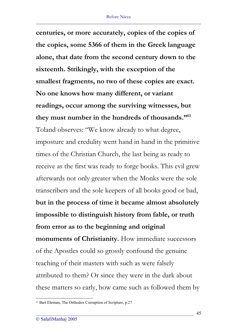**centuries, or more accurately, copies of the copies of the copies, some 5366 of them in the Greek language alone, that date from the second century down to the sixteenth. Strikingly, with the exception of the smallest fragments, no two of these copies are exact. No one knows how many different, or variant readings, occur among the surviving witnesses, but they must number in the hundreds of thousands."61** Toland observes: "We know already to what degree, imposture and credulity went hand in hand in the primitive times of the Christian Church, the last being as ready to receive as the first was ready to forge books. This evil grew afterwards not only greater when the Monks were the sole transcribers and the sole keepers of all books good or bad, **but in the process of time it became almost absolutely impossible to distinguish history from fable, or truth from error as to the beginning and original monuments of Christianity.** How immediate successors of the Apostles could so grossly confound the genuine teaching of their masters with such as were falsely attributed to them? Or since they were in the dark about these matters so early, how came such as followed them by

<sup>61</sup> Bart Ehrman, The Orthodox Corruption of Scripture, p.27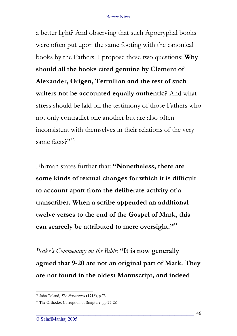a better light? And observing that such Apocryphal books were often put upon the same footing with the canonical books by the Fathers. I propose these two questions: **Why should all the books cited genuine by Clement of Alexander, Origen, Tertullian and the rest of such writers not be accounted equally authentic?** And what stress should be laid on the testimony of those Fathers who not only contradict one another but are also often inconsistent with themselves in their relations of the very same facts<sup>2"62</sup>

Ehrman states further that: **"Nonetheless, there are some kinds of textual changes for which it is difficult to account apart from the deliberate activity of a transcriber. When a scribe appended an additional twelve verses to the end of the Gospel of Mark, this can scarcely be attributed to mere oversight."63**

*Peake's Commentary on the Bible*: **"It is now generally agreed that 9-20 are not an original part of Mark. They are not found in the oldest Manuscript, and indeed** 

<sup>62</sup> John Toland, *The Nazarenes* (1718), p.73

<sup>&</sup>lt;sup>63</sup> The Orthodox Corruption of Scripture, pp.27-28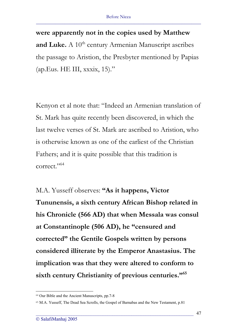**were apparently not in the copies used by Matthew**  and Luke. A 10<sup>th</sup> century Armenian Manuscript ascribes the passage to Aristion, the Presbyter mentioned by Papias  $(ap.Eus. HE III, xxxix, 15)."$ 

Kenyon et al note that: "Indeed an Armenian translation of St. Mark has quite recently been discovered, in which the last twelve verses of St. Mark are ascribed to Aristion, who is otherwise known as one of the earliest of the Christian Fathers; and it is quite possible that this tradition is correct."<sup>64</sup>

M.A. Yusseff observes: **"As it happens, Victor Tununensis, a sixth century African Bishop related in his Chronicle (566 AD) that when Messala was consul at Constantinople (506 AD), he "censured and corrected" the Gentile Gospels written by persons considered illiterate by the Emperor Anastasius. The implication was that they were altered to conform to sixth century Christianity of previous centuries."65**

<sup>64</sup> Our Bible and the Ancient Manuscripts, pp.7-8

<sup>65</sup> M.A. Yusseff, The Dead Sea Scrolls, the Gospel of Barnabas and the New Testament, p.81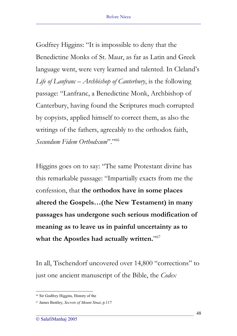Godfrey Higgins: "It is impossible to deny that the Benedictine Monks of St. Maur, as far as Latin and Greek language went, were very learned and talented. In Cleland's *Life of Lanfranc – Archbishop of Canterbury*, is the following passage: "Lanfranc, a Benedictine Monk, Archbishop of Canterbury, having found the Scriptures much corrupted by copyists, applied himself to correct them, as also the writings of the fathers, agreeably to the orthodox faith, *Secundum Fidem Orthodxum*"."<sup>66</sup>

Higgins goes on to say: "The same Protestant divine has this remarkable passage: "Impartially exacts from me the confession, that **the orthodox have in some places altered the Gospels…(the New Testament) in many passages has undergone such serious modification of meaning as to leave us in painful uncertainty as to**  what the Apostles had actually written."<sup>67</sup>

In all, Tischendorf uncovered over 14,800 "corrections" to just one ancient manuscript of the Bible, the *Codex*

<sup>66</sup> Sir Godfrey Higgins, History of the

<sup>67</sup> James Bentley, *Secrets of Mount Sinai*, p.117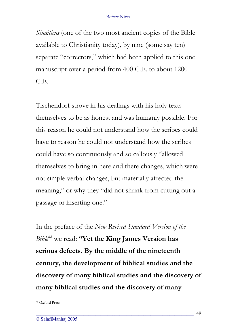*Sinaiticus* (one of the two most ancient copies of the Bible available to Christianity today), by nine (some say ten) separate "correctors," which had been applied to this one manuscript over a period from 400 C.E. to about 1200 C.E.

Tischendorf strove in his dealings with his holy texts themselves to be as honest and was humanly possible. For this reason he could not understand how the scribes could have to reason he could not understand how the scribes could have so continuously and so callously "allowed themselves to bring in here and there changes, which were not simple verbal changes, but materially affected the meaning," or why they "did not shrink from cutting out a passage or inserting one."

In the preface of the *New Revised Standard Version of the Bible68* we read: **"Yet the King James Version has serious defects. By the middle of the nineteenth century, the development of biblical studies and the discovery of many biblical studies and the discovery of many biblical studies and the discovery of many** 

<sup>68</sup> Oxford Press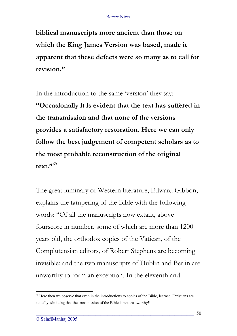**biblical manuscripts more ancient than those on which the King James Version was based, made it apparent that these defects were so many as to call for revision."**

In the introduction to the same 'version' they say: **"Occasionally it is evident that the text has suffered in the transmission and that none of the versions provides a satisfactory restoration. Here we can only follow the best judgement of competent scholars as to the most probable reconstruction of the original text."69**

The great luminary of Western literature, Edward Gibbon, explains the tampering of the Bible with the following words: "Of all the manuscripts now extant, above fourscore in number, some of which are more than 1200 years old, the orthodox copies of the Vatican, of the Complutensian editors, of Robert Stephens are becoming invisible; and the two manuscripts of Dublin and Berlin are unworthy to form an exception. In the eleventh and

<sup>&</sup>lt;sup>69</sup> Here then we observe that even in the introductions to copies of the Bible, learned Christians are actually admitting that the transmission of the Bible is not trustworthy!!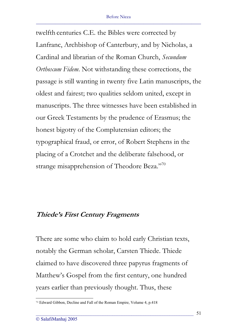twelfth centuries C.E. the Bibles were corrected by Lanfranc, Archbishop of Canterbury, and by Nicholas, a Cardinal and librarian of the Roman Church, *Secundum Orthoxum Fidem*. Not withstanding these corrections, the passage is still wanting in twenty five Latin manuscripts, the oldest and fairest; two qualities seldom united, except in manuscripts. The three witnesses have been established in our Greek Testaments by the prudence of Erasmus; the honest bigotry of the Complutensian editors; the typographical fraud, or error, of Robert Stephens in the placing of a Crotchet and the deliberate falsehood, or strange misapprehension of Theodore Beza."70

### **Thiede's First Century Fragments**

There are some who claim to hold early Christian texts, notably the German scholar, Carsten Thiede. Thiede claimed to have discovered three papyrus fragments of Matthew's Gospel from the first century, one hundred years earlier than previously thought. Thus, these

<sup>70</sup> Edward Gibbon, Decline and Fall of the Roman Empire, Volume 4, p.418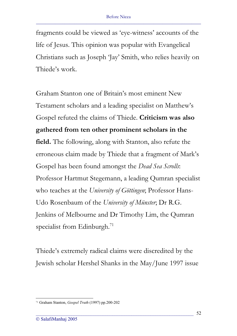fragments could be viewed as 'eye-witness' accounts of the life of Jesus. This opinion was popular with Evangelical Christians such as Joseph 'Jay' Smith, who relies heavily on Thiede's work.

Graham Stanton one of Britain's most eminent New Testament scholars and a leading specialist on Matthew's Gospel refuted the claims of Thiede. **Criticism was also gathered from ten other prominent scholars in the field.** The following, along with Stanton, also refute the erroneous claim made by Thiede that a fragment of Mark's Gospel has been found amongst the *Dead Sea Scrolls*: Professor Hartmut Stegemann, a leading Qumran specialist who teaches at the *University of Göttingen*; Professor Hans-Udo Rosenbaum of the *University of Münster*; Dr R.G. Jenkins of Melbourne and Dr Timothy Lim, the Qumran specialist from Edinburgh.<sup>71</sup>

Thiede's extremely radical claims were discredited by the Jewish scholar Hershel Shanks in the May/June 1997 issue

<sup>71</sup> Graham Stanton, *Gospel Truth* (1997) pp.200-202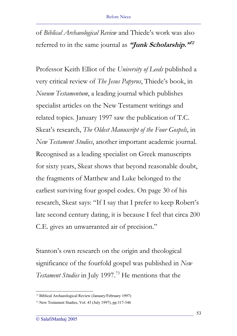of *Biblical Archaeological Review* and Thiede's work was also referred to in the same journal as **"Junk Scholarship."<sup>72</sup>**

Professor Keith Elliot of the *University of Leeds* published a very critical review of *The Jesus Papyrus*, Thiede's book, in *Novum Testamentum*, a leading journal which publishes specialist articles on the New Testament writings and related topics. January 1997 saw the publication of T.C. Skeat's research, *The Oldest Manuscript of the Four Gospels*, in *New Testament Studies*, another important academic journal. Recognised as a leading specialist on Greek manuscripts for sixty years, Skeat shows that beyond reasonable doubt, the fragments of Matthew and Luke belonged to the earliest surviving four gospel codex. On page 30 of his research, Skeat says: "If I say that I prefer to keep Robert's late second century dating, it is because I feel that circa 200 C.E. gives an unwarranted air of precision."

Stanton's own research on the origin and theological significance of the fourfold gospel was published in *New* Testament Studies in July 1997.<sup>73</sup> He mentions that the

<sup>72</sup> Biblical Archaeological Review (January/February 1997)

<sup>73</sup> New Testament Studies, Vol. 43 (July 1997), pp.317-346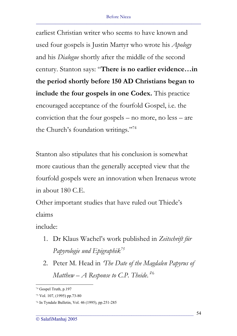earliest Christian writer who seems to have known and used four gospels is Justin Martyr who wrote his *Apology* and his *Dialogue* shortly after the middle of the second century. Stanton says: "**There is no earlier evidence…in the period shortly before 150 AD Christians began to include the four gospels in one Codex.** This practice encouraged acceptance of the fourfold Gospel, i.e. the conviction that the four gospels – no more, no less – are the Church's foundation writings."74

Stanton also stipulates that his conclusion is somewhat more cautious than the generally accepted view that the fourfold gospels were an innovation when Irenaeus wrote in about 180 C.E.

Other important studies that have ruled out Thiede's claims

include:

- 1. Dr Klaus Wachel's work published in *Zeitschrift für Papyrologie und Epigraphik<sup>75</sup>*
- 2. Peter M. Head in *'The Date of the Magdalen Papyrus of Matthew – A Response to C.P. Theide*.*'* 76

<sup>74</sup> Gospel Truth, p.197

<sup>75</sup> Vol. 107, (1995) pp.73-80

<sup>76</sup> In Tyndale Bulletin, Vol. 46 (1995), pp.251-285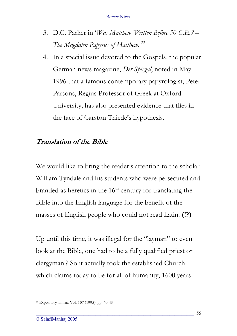- 3. D.C. Parker in '*Was Matthew Written Before 50 C.E.? The Magdalen Papyrus of Matthew.'<sup>77</sup>*
- 4. In a special issue devoted to the Gospels, the popular German news magazine, *Der Spiegal*, noted in May 1996 that a famous contemporary papyrologist, Peter Parsons, Regius Professor of Greek at Oxford University, has also presented evidence that flies in the face of Carston Thiede's hypothesis.

### **Translation of the Bible**

We would like to bring the reader's attention to the scholar William Tyndale and his students who were persecuted and branded as heretics in the  $16<sup>th</sup>$  century for translating the Bible into the English language for the benefit of the masses of English people who could not read Latin. **(!?)**

Up until this time, it was illegal for the "layman" to even look at the Bible, one had to be a fully qualified priest or clergyman!? So it actually took the established Church which claims today to be for all of humanity, 1600 years

<sup>77</sup> Expository Times, Vol. 107 (1995), pp. 40-43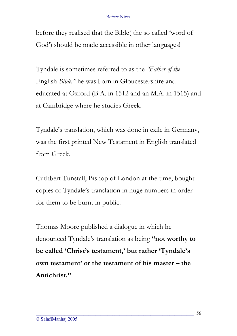before they realised that the Bible( the so called 'word of God') should be made accessible in other languages!

Tyndale is sometimes referred to as the *"Father of the* English *Bible,"* he was born in Gloucestershire and educated at Oxford (B.A. in 1512 and an M.A. in 1515) and at Cambridge where he studies Greek.

Tyndale's translation, which was done in exile in Germany, was the first printed New Testament in English translated from Greek.

Cuthbert Tunstall, Bishop of London at the time, bought copies of Tyndale's translation in huge numbers in order for them to be burnt in public.

Thomas Moore published a dialogue in which he denounced Tyndale's translation as being **"not worthy to be called 'Christ's testament,' but rather 'Tyndale's own testament' or the testament of his master – the Antichrist."**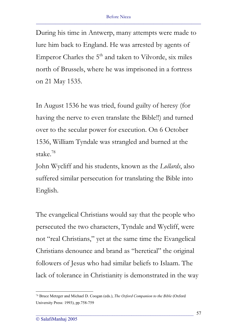During his time in Antwerp, many attempts were made to lure him back to England. He was arrested by agents of Emperor Charles the  $5<sup>th</sup>$  and taken to Vilvorde, six miles north of Brussels, where he was imprisoned in a fortress on 21 May 1535.

In August 1536 he was tried, found guilty of heresy (for having the nerve to even translate the Bible!!) and turned over to the secular power for execution. On 6 October 1536, William Tyndale was strangled and burned at the stake.78

John Wycliff and his students, known as the *Lollards*, also suffered similar persecution for translating the Bible into English.

The evangelical Christians would say that the people who persecuted the two characters, Tyndale and Wycliff, were not "real Christians," yet at the same time the Evangelical Christians denounce and brand as "heretical" the original followers of Jesus who had similar beliefs to Islaam. The lack of tolerance in Christianity is demonstrated in the way

<sup>78</sup> Bruce Metzger and Michael D. Coogan (eds.), *The Oxford Companion to the Bible* (Oxford University Press: 1993), pp.758-759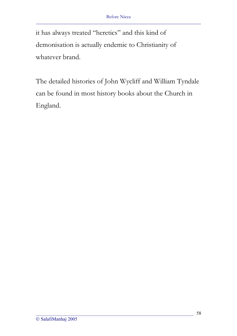it has always treated "heretics" and this kind of demonisation is actually endemic to Christianity of whatever brand.

The detailed histories of John Wycliff and William Tyndale can be found in most history books about the Church in England.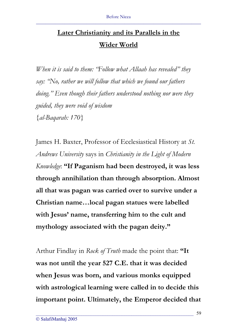# **Later Christianity and its Parallels in the Wider World**

*When it is said to them: "Follow what Allaah has revealed" they say: "No, rather we will follow that which we found our fathers doing." Even though their fathers understood nothing nor were they guided, they were void of wisdom {al-Baqarah: 170}* 

James H. Baxter, Professor of Ecclesiastical History at *St. Andrews University* says in *Christianity in the Light of Modern Knowledge*: **"If Paganism had been destroyed, it was less through annihilation than through absorption. Almost all that was pagan was carried over to survive under a Christian name…local pagan statues were labelled with Jesus' name, transferring him to the cult and mythology associated with the pagan deity."** 

Arthur Findlay in *Rock of Truth* made the point that: **"It was not until the year 527 C.E. that it was decided when Jesus was born, and various monks equipped with astrological learning were called in to decide this important point. Ultimately, the Emperor decided that**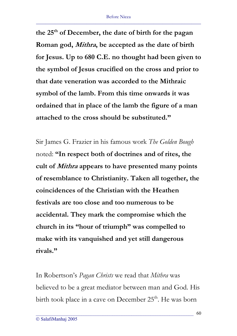the 25<sup>th</sup> of December, the date of birth for the pagan **Roman god, Mithra, be accepted as the date of birth for Jesus. Up to 680 C.E. no thought had been given to the symbol of Jesus crucified on the cross and prior to that date veneration was accorded to the Mithraic symbol of the lamb. From this time onwards it was ordained that in place of the lamb the figure of a man attached to the cross should be substituted."** 

Sir James G. Frazier in his famous work *The Golden Bough* noted: **"In respect both of doctrines and of rites, the cult of Mithra appears to have presented many points of resemblance to Christianity. Taken all together, the coincidences of the Christian with the Heathen festivals are too close and too numerous to be accidental. They mark the compromise which the church in its "hour of triumph" was compelled to make with its vanquished and yet still dangerous rivals."**

In Robertson's *Pagan Christs* we read that *Mithra* was believed to be a great mediator between man and God. His birth took place in a cave on December 25<sup>th</sup>. He was born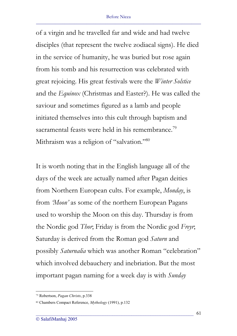of a virgin and he travelled far and wide and had twelve disciples (that represent the twelve zodiacal signs). He died in the service of humanity, he was buried but rose again from his tomb and his resurrection was celebrated with great rejoicing. His great festivals were the *Winter Solstice* and the *Equinox* (Christmas and Easter?). He was called the saviour and sometimes figured as a lamb and people initiated themselves into this cult through baptism and sacramental feasts were held in his remembrance.<sup>79</sup> Mithraism was a religion of "salvation."<sup>80</sup>

It is worth noting that in the English language all of the days of the week are actually named after Pagan deities from Northern European cults. For example, *Monday*, is from *'Moon'* as some of the northern European Pagans used to worship the Moon on this day. Thursday is from the Nordic god *Thor*; Friday is from the Nordic god *Freyr*; Saturday is derived from the Roman god *Saturn* and possibly *Saturnalia* which was another Roman "celebration" which involved debauchery and inebriation. But the most important pagan naming for a week day is with *Sunday*

<sup>79</sup> Robertson, *Pagan Christs*, p.338

<sup>80</sup> Chambers Compact Reference, *Mythology* (1991), p.132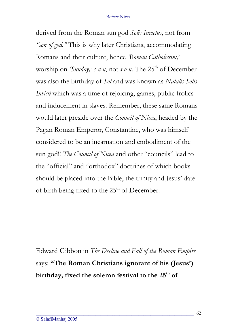derived from the Roman sun god *Solis Invictus*, not from *"son of god."* This is why later Christians, accommodating Romans and their culture, hence *'Roman Catholicsim,*' worship on *'Sunday,' s-u-n*, not *s-o-n*. The 25<sup>th</sup> of December was also the birthday of *Sol* and was known as *Natalis Solis Invicti* which was a time of rejoicing, games, public frolics and inducement in slaves. Remember, these same Romans would later preside over the *Council of Nicea*, headed by the Pagan Roman Emperor, Constantine, who was himself considered to be an incarnation and embodiment of the sun god!! *The Council of Nicea* and other "councils" lead to the "official" and "orthodox" doctrines of which books should be placed into the Bible, the trinity and Jesus' date of birth being fixed to the  $25<sup>th</sup>$  of December.

Edward Gibbon in *The Decline and Fall of the Roman Empire* says: **"The Roman Christians ignorant of his (Jesus')**  birthday, fixed the solemn festival to the 25<sup>th</sup> of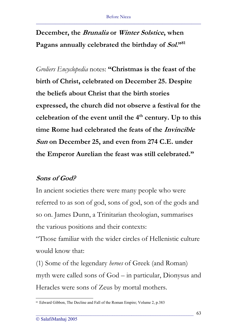# **December, the Brunalia or Winter Solstice, when Pagans annually celebrated the birthday of Sol."81**

*Groliers Encyclopedia* notes: **"Christmas is the feast of the birth of Christ, celebrated on December 25. Despite the beliefs about Christ that the birth stories expressed, the church did not observe a festival for the**  celebration of the event until the 4<sup>th</sup> century. Up to this **time Rome had celebrated the feats of the Invincible Sun on December 25, and even from 274 C.E. under the Emperor Aurelian the feast was still celebrated."** 

### **Sons of God?**

In ancient societies there were many people who were referred to as son of god, sons of god, son of the gods and so on. James Dunn, a Trinitarian theologian, summarises the various positions and their contexts:

"Those familiar with the wider circles of Hellenistic culture would know that:

(1) Some of the legendary *heroes* of Greek (and Roman) myth were called sons of God – in particular, Dionysus and Heracles were sons of Zeus by mortal mothers.

<sup>&</sup>lt;sup>81</sup> Edward Gibbon, The Decline and Fall of the Roman Empire; Volume 2, p.383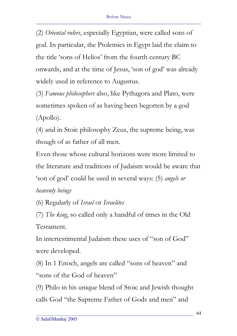(2) *Oriental rulers*, especially Egyptian, were called sons of god. In particular, the Ptolemies in Egypt laid the claim to the title 'sons of Helios' from the fourth century BC onwards, and at the time of Jesus, 'son of god' was already widely used in reference to Augustus.

(3) *Famous philosophers* also, like Pythagora and Plato, were sometimes spoken of as having been begotten by a god (Apollo).

(4) and in Stoic philosophy Zeus, the supreme being, was though of as father of all men.

Even those whose cultural horizons were more limited to the literature and traditions of Judaism would be aware that 'son of god' could be used in several ways: (5) *angels or heavenly beings* 

(6) Regularly of *Israel* or *Israelites*

(7) *The king*, so called only a handful of times in the Old Testament.

In intertestimental Judaism these uses of "son of God" were developed.

(8) In 1 Enoch, angels are called "sons of heaven" and "sons of the God of heaven"

(9) Philo in his unique blend of Stoic and Jewish thought calls God "the Supreme Father of Gods and men" and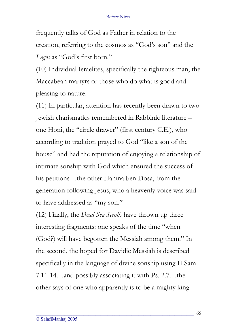frequently talks of God as Father in relation to the creation, referring to the cosmos as "God's son" and the *Logos* as "God's first born."

(10) Individual Israelites, specifically the righteous man, the Maccabean martyrs or those who do what is good and pleasing to nature.

(11) In particular, attention has recently been drawn to two Jewish charismatics remembered in Rabbinic literature – one Honi, the "circle drawer" (first century C.E.), who according to tradition prayed to God "like a son of the house" and had the reputation of enjoying a relationship of intimate sonship with God which ensured the success of his petitions…the other Hanina ben Dosa, from the generation following Jesus, who a heavenly voice was said to have addressed as "my son."

(12) Finally, the *Dead Sea Scrolls* have thrown up three interesting fragments: one speaks of the time "when (God?) will have begotten the Messiah among them." In the second, the hoped for Davidic Messiah is described specifically in the language of divine sonship using II Sam 7.11-14…and possibly associating it with Ps. 2.7…the other says of one who apparently is to be a mighty king

\_\_\_\_\_\_\_\_\_\_\_\_\_\_\_\_\_\_\_\_\_\_\_\_\_\_\_\_\_\_\_\_\_\_\_\_\_\_\_\_\_\_\_\_\_\_\_\_\_\_\_\_\_\_\_\_\_\_\_\_\_\_\_\_\_\_

65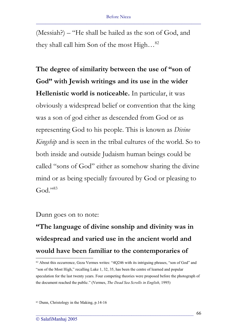(Messiah?) – "He shall be hailed as the son of God, and they shall call him Son of the most High…82

**The degree of similarity between the use of "son of God" with Jewish writings and its use in the wider Hellenistic world is noticeable.** In particular, it was obviously a widespread belief or convention that the king was a son of god either as descended from God or as representing God to his people. This is known as *Divine Kingship* and is seen in the tribal cultures of the world. So to both inside and outside Judaism human beings could be called "sons of God" either as somehow sharing the divine mind or as being specially favoured by God or pleasing to  $God. "83"$ 

Dunn goes on to note:

**"The language of divine sonship and divinity was in widespread and varied use in the ancient world and would have been familiar to the contemporaries of** 

<sup>82</sup> About this occurrence, Geza Vermes writes: "4Q246 with its intriguing phrases, "son of God" and "son of the Most High," recalling Luke 1, 32, 35, has been the centre of learned and popular speculation for the last twenty years. Four competing theories were proposed before the photograph of the document reached the public." (Vermes, *The Dead Sea Scrolls in English*, 1995)

<sup>83</sup> Dunn, Christology in the Making, p.14-16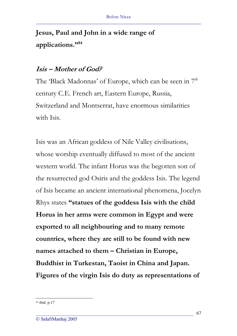## **Jesus, Paul and John in a wide range of applications."84**

#### **Isis – Mother of God?**

The 'Black Madonnas' of Europe, which can be seen in 7<sup>th</sup> century C.E. French art, Eastern Europe, Russia, Switzerland and Montserrat, have enormous similarities with Isis.

Isis was an African goddess of Nile Valley civilisations, whose worship eventually diffused to most of the ancient western world. The infant Horus was the begotten son of the resurrected god Osiris and the goddess Isis. The legend of Isis became an ancient international phenomena, Jocelyn Rhys states **"statues of the goddess Isis with the child Horus in her arms were common in Egypt and were exported to all neighbouring and to many remote countries, where they are still to be found with new names attached to them – Christian in Europe, Buddhist in Turkestan, Taoist in China and Japan. Figures of the virgin Isis do duty as representations of** 

\_\_\_\_\_\_\_\_\_\_\_\_\_\_\_\_\_\_\_\_\_\_\_\_\_\_\_\_\_\_\_\_\_\_\_\_\_\_\_\_\_\_\_\_\_\_\_\_\_\_\_\_\_\_\_\_\_\_\_\_\_\_\_\_\_\_

67

<sup>84</sup> ibid. p.17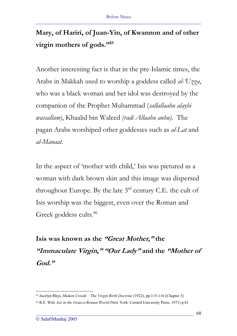# **Mary, of Hariri, of Juan-Yin, of Kwannon and of other virgin mothers of gods."85**

Another interesting fact is that in the pre-Islamic times, the Arabs in Makkah used to worship a goddess called *al-'Uzza*, who was a black woman and her idol was destroyed by the companion of the Prophet Muhammad (*sallallaahu alayhi wassallam)*, Khaalid bin Waleed *(radi Allaahu anhu)*. The pagan Arabs worshiped other goddesses such as *al-Lat* and *al-Manaat.*

In the aspect of 'mother with child,' Isis was pictured as a woman with dark brown skin and this image was dispersed throughout Europe. By the late  $3<sup>rd</sup>$  century C.E. the cult of Isis worship was the biggest, even over the Roman and Greek goddess cults.<sup>86</sup>

**Isis was known as the "Great Mother," the "Immaculate Virgin," "Our Lady" and the "Mother of God."**

<sup>85</sup> Jocelyn Rhys, *Shaken Creeds – The Virgin Birth Doctrine* (1922), pp.115-116 (Chapter 3)

<sup>86</sup> R.E. Witt, *Isis in the Graeco-Roman World* (New York: Cornell University Press, 1971) p.81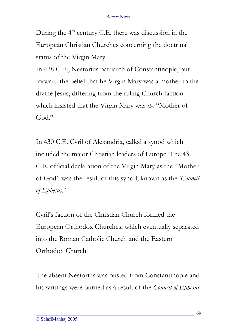During the 4<sup>th</sup> century C.E. there was discussion in the European Christian Churches concerning the doctrinal status of the Virgin Mary.

In 428 C.E., Nestorius patriarch of Constantinople, put forward the belief that he Virgin Mary was a mother to the divine Jesus, differing from the ruling Church faction which insisted that the Virgin Mary was *the* "Mother of God."

In 430 C.E. Cyril of Alexandria, called a synod which included the major Christian leaders of Europe. The 431 C.E. official declaration of the Virgin Mary as the "Mother of God" was the result of this synod, known as the *'Council of Ephesus.'*

Cyril's faction of the Christian Church formed the European Orthodox Churches, which eventually separated into the Roman Catholic Church and the Eastern Orthodox Church.

The absent Nestorius was ousted from Constantinople and his writings were burned as a result of the *Council of Ephesus*.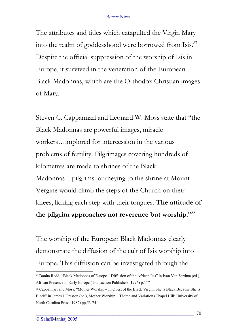The attributes and titles which catapulted the Virgin Mary into the realm of goddesshood were borrowed from Isis.<sup>87</sup> Despite the official suppression of the worship of Isis in Europe, it survived in the veneration of the European Black Madonnas, which are the Orthodox Christian images of Mary.

Steven C. Cappannari and Leonard W. Moss state that "the Black Madonnas are powerful images, miracle workers…implored for intercession in the various problems of fertility. Pilgrimages covering hundreds of kilometres are made to shrines of the Black Madonnas…pilgrims journeying to the shrine at Mount Vergine would climb the steps of the Church on their knees, licking each step with their tongues. **The attitude of the pilgrim approaches not reverence but worship**."88

The worship of the European Black Madonnas clearly demonstrate the diffusion of the cult of Isis worship into Europe. This diffusion can be investigated through the

<sup>87</sup> Danita Redd, "Black Madonnas of Europe - Diffusion of the African Isis" in Ivan Van Sertima (ed.), African Presence in Early Europe (Transaction Publishers, 1996) p.117

<sup>88</sup> Cappannari and Moss, "Mother Worship – In Quest of the Black Virgin, She is Black Because She is Black" in James J. Preston (ed.), Mother Worship – Theme and Variation (Chapel Hill: University of North Carolina Press, 1982) pp.53-74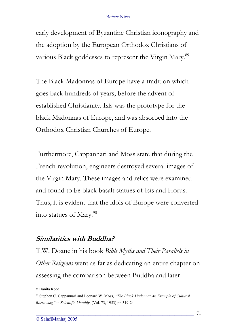early development of Byzantine Christian iconography and the adoption by the European Orthodox Christians of various Black goddesses to represent the Virgin Mary.<sup>89</sup>

The Black Madonnas of Europe have a tradition which goes back hundreds of years, before the advent of established Christianity. Isis was the prototype for the black Madonnas of Europe, and was absorbed into the Orthodox Christian Churches of Europe.

Furthermore, Cappannari and Moss state that during the French revolution, engineers destroyed several images of the Virgin Mary. These images and relics were examined and found to be black basalt statues of Isis and Horus. Thus, it is evident that the idols of Europe were converted into statues of Mary. $90$ 

#### **Similarities with Buddha?**

T.W. Doane in his book *Bible Myths and Their Parallels in Other Religions* went as far as dedicating an entire chapter on assessing the comparison between Buddha and later

<sup>89</sup> Danita Redd

<sup>90</sup> Stephen C. Cappannari and Leonard W. Moss, *"The Black Madonna: An Example of Cultural Borrowing"* in *Scientific Monthly*, (Vol. 73, 1953) pp.319-24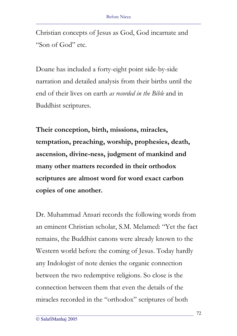Christian concepts of Jesus as God, God incarnate and "Son of God" etc.

Doane has included a forty-eight point side-by-side narration and detailed analysis from their births until the end of their lives on earth *as recorded in the Bible* and in Buddhist scriptures.

**Their conception, birth, missions, miracles, temptation, preaching, worship, prophesies, death, ascension, divine-ness, judgment of mankind and many other matters recorded in their orthodox scriptures are almost word for word exact carbon copies of one another.** 

Dr. Muhammad Ansari records the following words from an eminent Christian scholar, S.M. Melamed: "Yet the fact remains, the Buddhist canons were already known to the Western world before the coming of Jesus. Today hardly any Indologist of note denies the organic connection between the two redemptive religions. So close is the connection between them that even the details of the miracles recorded in the "orthodox" scriptures of both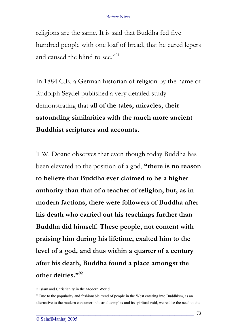religions are the same. It is said that Buddha fed five hundred people with one loaf of bread, that he cured lepers and caused the blind to see."<sup>91</sup>

In 1884 C.E. a German historian of religion by the name of Rudolph Seydel published a very detailed study demonstrating that **all of the tales, miracles, their astounding similarities with the much more ancient Buddhist scriptures and accounts.**

T.W. Doane observes that even though today Buddha has been elevated to the position of a god, **"there is no reason to believe that Buddha ever claimed to be a higher authority than that of a teacher of religion, but, as in modern factions, there were followers of Buddha after his death who carried out his teachings further than Buddha did himself. These people, not content with praising him during his lifetime, exalted him to the level of a god, and thus within a quarter of a century after his death, Buddha found a place amongst the other deities."92**

<sup>91</sup> Islam and Christianity in the Modern World

<sup>&</sup>lt;sup>92</sup> Due to the popularity and fashionable trend of people in the West entering into Buddhism, as an alternative to the modern consumer industrial complex and its spiritual void, we realise the need to cite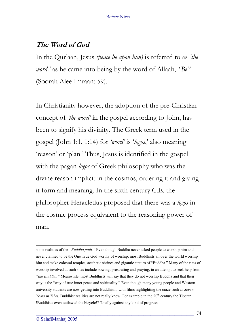### **The Word of God**

In the Qur'aan, Jesus *(peace be upon him)* is referred to as *'the word,'* as he came into being by the word of Allaah, *"Be"* (Soorah Alee Imraan: 59).

In Christianity however, the adoption of the pre-Christian concept of *'the word'* in the gospel according to John, has been to signify his divinity. The Greek term used in the gospel (John 1:1, 1:14) for *'word'* is '*logos*,' also meaning 'reason' or 'plan.' Thus, Jesus is identified in the gospel with the pagan *logos* of Greek philosophy who was the divine reason implicit in the cosmos, ordering it and giving it form and meaning. In the sixth century C.E. the philosopher Heracletius proposed that there was a *logos* in the cosmic process equivalent to the reasoning power of man.

some realities of the *"Buddha path."* Even though Buddha never asked people to worship him and never claimed to be the One True God worthy of worship, most Buddhists all over the world worship him and make colossal temples, aesthetic shrines and gigantic statues of "Buddha." Many of the rites of worship involved at such sites include bowing, prostrating and praying, in an attempt to seek help from *"the Buddha."* Meanwhile, most Buddhists will say that they do not worship Buddha and that their way is the "way of true inner peace and spirituality." Even though many young people and Western university students are now getting into Buddhism, with films highlighting the craze such as *Seven Years in Tibet*, Buddhist realities are not really know. For example in the 20<sup>th</sup> century the Tibetan !Buddhists even outlawed the bicycle!? Totally against any kind of progress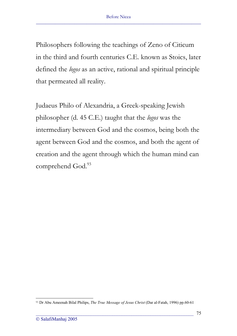Philosophers following the teachings of Zeno of Citicum in the third and fourth centuries C.E. known as Stoics, later defined the *logos* as an active, rational and spiritual principle that permeated all reality.

Judaeus Philo of Alexandria, a Greek-speaking Jewish philosopher (d. 45 C.E.) taught that the *logos* was the intermediary between God and the cosmos, being both the agent between God and the cosmos, and both the agent of creation and the agent through which the human mind can comprehend God.<sup>93</sup>

<sup>93</sup> Dr Abu Ameenah Bilal Philips, *The True Message of Jesus Christ* (Dar al-Fatah, 1996) pp.60-61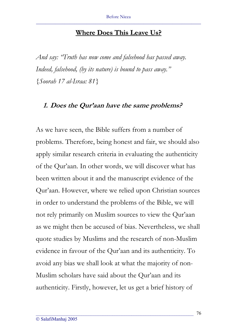#### **Where Does This Leave Us?**

*And say: "Truth has now come and falsehood has passed away. Indeed, falsehood, (by its nature) is bound to pass away." {Soorah 17 al-Israa: 81}* 

#### **1. Does the Qur'aan have the same problems?**

As we have seen, the Bible suffers from a number of problems. Therefore, being honest and fair, we should also apply similar research criteria in evaluating the authenticity of the Qur'aan. In other words, we will discover what has been written about it and the manuscript evidence of the Qur'aan. However, where we relied upon Christian sources in order to understand the problems of the Bible, we will not rely primarily on Muslim sources to view the Qur'aan as we might then be accused of bias. Nevertheless, we shall quote studies by Muslims and the research of non-Muslim evidence in favour of the Qur'aan and its authenticity. To avoid any bias we shall look at what the majority of non-Muslim scholars have said about the Qur'aan and its authenticity. Firstly, however, let us get a brief history of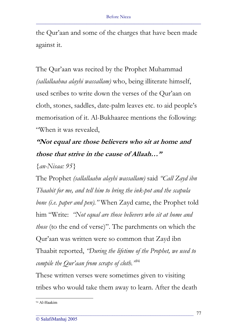the Qur'aan and some of the charges that have been made against it.

The Qur'aan was recited by the Prophet Muhammad *(sallallaahua alayhi wassallam)* who, being illiterate himself, used scribes to write down the verses of the Qur'aan on cloth, stones, saddles, date-palm leaves etc. to aid people's memorisation of it. Al-Bukhaaree mentions the following: "When it was revealed,

# **"Not equal are those believers who sit at home and those that strive in the cause of Allaah…"**

*{an-Nisaa: 95}* 

The Prophet *(sallallaahu alayhi wassallam)* said *"Call Zayd ibn Thaabit for me, and tell him to bring the ink-pot and the scapula bone (i.e. paper and pen)."* When Zayd came, the Prophet told him "Write: *"Not equal are those believers who sit at home and those* (to the end of verse)". The parchments on which the Qur'aan was written were so common that Zayd ibn Thaabit reported, *"During the lifetime of the Prophet, we used to compile the Qur'aan from scraps of cloth."*<sup>94</sup>

These written verses were sometimes given to visiting tribes who would take them away to learn. After the death

<sup>94</sup> Al-Haakim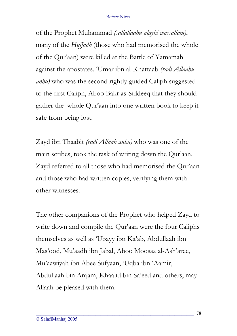of the Prophet Muhammad *(sallallaahu alayhi wassallam)*, many of the *Huffadh* (those who had memorised the whole of the Qur'aan) were killed at the Battle of Yamamah against the apostates. 'Umar ibn al-Khattaab *(radi Allaahu anhu)* who was the second rightly guided Caliph suggested to the first Caliph, Aboo Bakr as-Siddeeq that they should gather the whole Qur'aan into one written book to keep it safe from being lost.

Zayd ibn Thaabit *(radi Allaah anhu)* who was one of the main scribes, took the task of writing down the Qur'aan. Zayd referred to all those who had memorised the Qur'aan and those who had written copies, verifying them with other witnesses.

The other companions of the Prophet who helped Zayd to write down and compile the Qur'aan were the four Caliphs themselves as well as 'Ubayy ibn Ka'ab, Abdullaah ibn Mas'ood, Mu'aadh ibn Jabal, Aboo Moosaa al-Ash'aree, Mu'aawiyah ibn Abee Sufyaan, 'Uqba ibn 'Aamir, Abdullaah bin Arqam, Khaalid bin Sa'eed and others, may Allaah be pleased with them.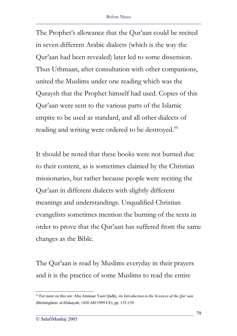The Prophet's allowance that the Qur'aan could be recited in seven different Arabic dialects (which is the way the Qur'aan had been revealed) later led to some dissension. Thus Uthmaan, after consultation with other companions, united the Muslims under one reading which was the Quraysh that the Prophet himself had used. Copies of this Qur'aan were sent to the various parts of the Islamic empire to be used as standard, and all other dialects of reading and writing were ordered to be destroyed.<sup>95</sup>

It should be noted that these books were not burned due to their content, as is sometimes claimed by the Christian missionaries, but rather because people were reciting the Qur'aan in different dialects with slightly different meanings and understandings. Unqualified Christian evangelists sometimes mention the burning of the texts in order to prove that the Qur'aan has suffered from the same changes as the Bible.

The Qur'aan is read by Muslims everyday in their prayers and it is the practice of some Muslims to read the entire

<sup>95</sup> For more on this see: Abu Ammaar Yasir Qadhi, *An Introduction to the Sciences of the Qur'aan* (Birmingham: al-Hidaayah, 1420 AH/1999 CE), pp. 135-139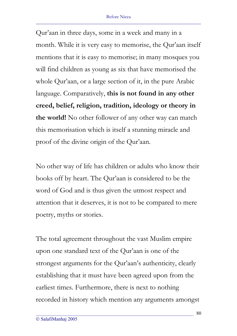Qur'aan in three days, some in a week and many in a month. While it is very easy to memorise, the Qur'aan itself mentions that it is easy to memorise; in many mosques you will find children as young as six that have memorised the whole Qur'aan, or a large section of it, in the pure Arabic language. Comparatively, **this is not found in any other creed, belief, religion, tradition, ideology or theory in the world!** No other follower of any other way can match this memorisation which is itself a stunning miracle and proof of the divine origin of the Qur'aan.

No other way of life has children or adults who know their books off by heart. The Qur'aan is considered to be the word of God and is thus given the utmost respect and attention that it deserves, it is not to be compared to mere poetry, myths or stories.

The total agreement throughout the vast Muslim empire upon one standard text of the Qur'aan is one of the strongest arguments for the Qur'aan's authenticity, clearly establishing that it must have been agreed upon from the earliest times. Furthermore, there is next to nothing recorded in history which mention any arguments amongst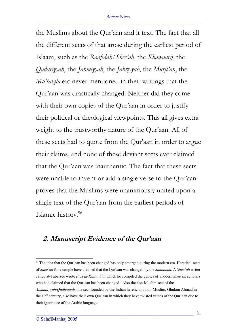the Muslims about the Qur'aan and it text. The fact that all the different sects of that arose during the earliest period of Islaam, such as the *Raafidah/Shee'ah*, the *Khawaarij*, the *Qadariyyah*, the *Jahmiyyah*, the *Jabriyyah*, the *Murji'ah*, the *Mu'tazila* etc never mentioned in their writings that the Qur'aan was drastically changed. Neither did they come with their own copies of the Qur'aan in order to justify their political or theological viewpoints. This all gives extra weight to the trustworthy nature of the Qur'aan. All of these sects had to quote from the Qur'aan in order to argue their claims, and none of these deviant sects ever claimed that the Qur'aan was inauthentic. The fact that these sects were unable to invent or add a single verse to the Qur'aan proves that the Muslims were unanimously united upon a single text of the Qur'aan from the earliest periods of Islamic history.<sup>96</sup>

## **2. Manuscript Evidence of the Qur'aan**

<sup>96</sup> The idea that the Qur'aan has been changed has only emerged during the modern era. Heretical sects of *Shee'ah* for example have claimed that the Qur'aan was changed by the *Sahaabah*. A *Shee'ah* writer called at-Tabarsee wrote *Fasl al-Khitaab* in which he compiled the quotes of modern *Shee'ah* scholars who had claimed that the Qur'aan has been changed. Also the non-Muslim sect of the *Ahmadiyyah/Qadiyaanis*, the sect founded by the Indian heretic and non-Muslim, Ghulam Ahmad in the 19<sup>th</sup> century, also have their own Qur'aan in which they have twisted verses of the Qur'aan due to their ignorance of the Arabic language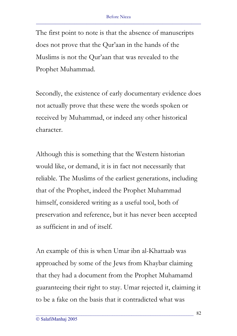The first point to note is that the absence of manuscripts does not prove that the Qur'aan in the hands of the Muslims is not the Qur'aan that was revealed to the Prophet Muhammad.

Secondly, the existence of early documentary evidence does not actually prove that these were the words spoken or received by Muhammad, or indeed any other historical character.

Although this is something that the Western historian would like, or demand, it is in fact not necessarily that reliable. The Muslims of the earliest generations, including that of the Prophet, indeed the Prophet Muhammad himself, considered writing as a useful tool, both of preservation and reference, but it has never been accepted as sufficient in and of itself.

An example of this is when Umar ibn al-Khattaab was approached by some of the Jews from Khaybar claiming that they had a document from the Prophet Muhamamd guaranteeing their right to stay. Umar rejected it, claiming it to be a fake on the basis that it contradicted what was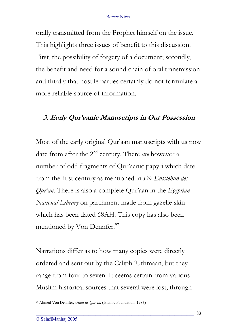orally transmitted from the Prophet himself on the issue. This highlights three issues of benefit to this discussion. First, the possibility of forgery of a document; secondly, the benefit and need for a sound chain of oral transmission and thirdly that hostile parties certainly do not formulate a more reliable source of information.

#### **3. Early Qur'aanic Manuscripts in Our Possession**

Most of the early original Qur'aan manuscripts with us now date from after the 2nd century. There *are* however a number of odd fragments of Qur'aanic papyri which date from the first century as mentioned in *Die Entstehun des Qur'an*. There is also a complete Qur'aan in the *Egyptian National Library* on parchment made from gazelle skin which has been dated 68AH. This copy has also been mentioned by Von Dennfer.<sup>97</sup>

Narrations differ as to how many copies were directly ordered and sent out by the Caliph 'Uthmaan, but they range from four to seven. It seems certain from various Muslim historical sources that several were lost, through

<sup>97</sup> Ahmed Von Dennfer, *Ulum al-Qur'an* (Islamic Foundation, 1983)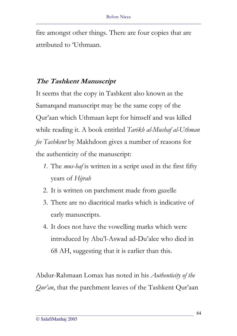fire amongst other things. There are four copies that are attributed to 'Uthmaan.

### **The Tashkent Manuscript**

It seems that the copy in Tashkent also known as the Samarqand manuscript may be the same copy of the Qur'aan which Uthmaan kept for himself and was killed while reading it. A book entitled *Tarikh al-Mushaf al-Uthman fee Tashkent* by Makhdoon gives a number of reasons for the authenticity of the manuscript:

- *1.* The *mus-haf* is written in a script used in the first fifty years of *Hijrah*
- 2. It is written on parchment made from gazelle
- 3. There are no diacritical marks which is indicative of early manuscripts.
- 4. It does not have the vowelling marks which were introduced by Abu'l-Aswad ad-Du'alee who died in 68 AH, suggesting that it is earlier than this.

Abdur-Rahmaan Lomax has noted in his *Authenticity of the Qur'an*, that the parchment leaves of the Tashkent Qur'aan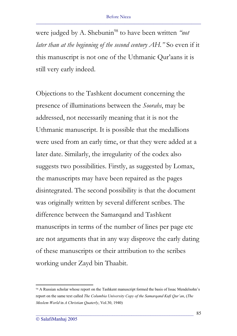were judged by A. Shebunin<sup>98</sup> to have been written *"not*" *later than at the beginning of the second century AH.*" So even if it this manuscript is not one of the Uthmanic Qur'aans it is still very early indeed.

Objections to the Tashkent document concerning the presence of illuminations between the *Soorahs*, may be addressed, not necessarily meaning that it is not the Uthmanic manuscript. It is possible that the medallions were used from an early time, or that they were added at a later date. Similarly, the irregularity of the codex also suggests two possibilities. Firstly, as suggested by Lomax, the manuscripts may have been repaired as the pages disintegrated. The second possibility is that the document was originally written by several different scribes. The difference between the Samarqand and Tashkent manuscripts in terms of the number of lines per page etc are not arguments that in any way disprove the early dating of these manuscripts or their attribution to the scribes working under Zayd bin Thaabit.

<sup>98</sup> A Russian scholar whose report on the Tashkent manuscript formed the basis of Issac Mendelsohn's report on the same text called *The Columbia University Copy of the Samarqand Kufi Qur'an*, (*The Moslem World* in *A Christian Quaterly*, Vol.30, 1940)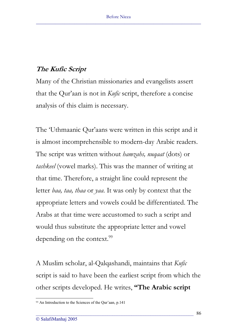### **The Kufic Script**

Many of the Christian missionaries and evangelists assert that the Qur'aan is not in *Kufic* script, therefore a concise analysis of this claim is necessary.

The 'Uthmaanic Qur'aans were written in this script and it is almost incomprehensible to modern-day Arabic readers. The script was written without *hamzahs, nuqaat* (dots) or *tashkeel* (vowel marks). This was the manner of writing at that time. Therefore, a straight line could represent the letter *baa, taa, thaa* or *yaa*. It was only by context that the appropriate letters and vowels could be differentiated. The Arabs at that time were accustomed to such a script and would thus substitute the appropriate letter and vowel depending on the context.<sup>99</sup>

A Muslim scholar, al-Qalqashandi, maintains that *Kufic* script is said to have been the earliest script from which the other scripts developed. He writes, **"The Arabic script** 

<sup>99</sup> An Introduction to the Sciences of the Qur'aan, p.141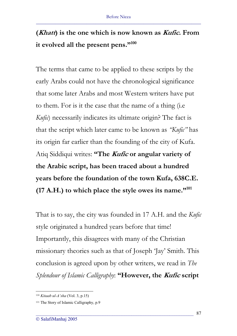# **(Khatt) is the one which is now known as Kufic. From it evolved all the present pens."100**

The terms that came to be applied to these scripts by the early Arabs could not have the chronological significance that some later Arabs and most Western writers have put to them. For is it the case that the name of a thing (i.e *Kufic*) necessarily indicates its ultimate origin? The fact is that the script which later came to be known as *"Kufic"* has its origin far earlier than the founding of the city of Kufa. Atiq Siddiqui writes: **"The Kufic or angular variety of the Arabic script, has been traced about a hundred years before the foundation of the town Kufa, 638C.E. (17 A.H.) to which place the style owes its name."101**

That is to say, the city was founded in 17 A.H. and the *Kufic* style originated a hundred years before that time! Importantly, this disagrees with many of the Christian missionary theories such as that of Joseph 'Jay' Smith. This conclusion is agreed upon by other writers, we read in *The Splendour of Islamic Calligraphy*: **"However, the Kufic script** 

<sup>100</sup> *Kitaab ul-A'sha* (Vol. 3, p.15)

<sup>&</sup>lt;sup>101</sup> The Story of Islamic Calligraphy, p.9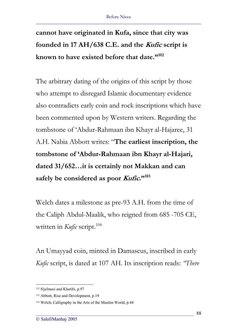**cannot have originated in Kufa, since that city was founded in 17 AH/638 C.E. and the Kufic script is known to have existed before that date."102**

The arbitrary dating of the origins of this script by those who attempt to disregard Islamic documentary evidence also contradicts early coin and rock inscriptions which have been commented upon by Western writers. Regarding the tombstone of 'Abdur-Rahmaan ibn Khayr al-Hajaree, 31 A.H. Nabia Abbott writes: "**The earliest inscription, the tombstone of 'Abdur-Rahmaan ibn Khayr al-Hajari, dated 31/652…it is certainly not Makkan and can safely be considered as poor Kufic."103**

Welch dates a milestone as pre-93 A.H. from the time of the Caliph Abdul-Maalik, who reigned from 685 -705 CE, written in *Kufic* script.<sup>104</sup>

An Umayyad coin, minted in Damascus, inscribed in early *Kufic* script, is dated at 107 AH. Its inscription reads: *"There*

<sup>102</sup> Sijelmasi and Khatibi, p.97

<sup>103</sup> Abbott, Rise and Development, p.19

<sup>104</sup> Welch, Calligraphy in the Arts of the Muslim World, p.44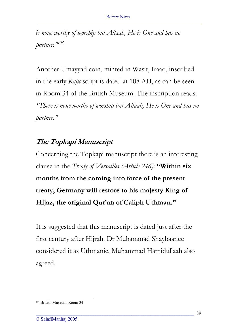*is none worthy of worship but Allaah, He is One and has no partner."<sup>105</sup>*

Another Umayyad coin, minted in Wasit, Iraaq, inscribed in the early *Kufic* script is dated at 108 AH, as can be seen in Room 34 of the British Museum. The inscription reads: *"There is none worthy of worship but Allaah, He is One and has no partner."*

### **The Topkapi Manuscript**

Concerning the Topkapi manuscript there is an interesting clause in the *Treaty of Versailles (Article 246)*: **"Within six months from the coming into force of the present treaty, Germany will restore to his majesty King of Hijaz, the original Qur'an of Caliph Uthman."** 

It is suggested that this manuscript is dated just after the first century after Hijrah. Dr Muhammad Shaybaanee considered it as Uthmanic, Muhammad Hamidullaah also agreed.

<sup>105</sup> British Museum, Room 34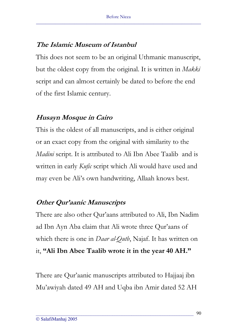### **The Islamic Museum of Istanbul**

This does not seem to be an original Uthmanic manuscript, but the oldest copy from the original. It is written in *Makki* script and can almost certainly be dated to before the end of the first Islamic century.

## **Husayn Mosque in Cairo**

This is the oldest of all manuscripts, and is either original or an exact copy from the original with similarity to the *Madini* script. It is attributed to Ali Ibn Abee Taalib and is written in early *Kufic* script which Ali would have used and may even be Ali's own handwriting, Allaah knows best.

## **Other Qur'aanic Manuscripts**

There are also other Qur'aans attributed to Ali, Ibn Nadim ad Ibn Ayn Aba claim that Ali wrote three Qur'aans of which there is one in *Daar al-Qutb*, Najaf. It has written on it, **"Ali Ibn Abee Taalib wrote it in the year 40 AH."** 

There are Qur'aanic manuscripts attributed to Hajjaaj ibn Mu'awiyah dated 49 AH and Uqba ibn Amir dated 52 AH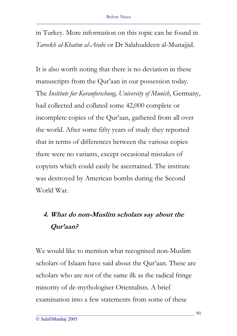in Turkey. More information on this topic can be found in *Tareekh al-Khatim al-Arabi* or Dr Salahuddeen al-Munajjid.

It is also worth noting that there is no deviation in these manuscripts from the Qur'aan in our possession today. The *Institute fur Koranforschung, University of Munich*, Germany, had collected and collated some 42,000 complete or incomplete copies of the Qur'aan, gathered from all over the world. After some fifty years of study they reported that in terms of differences between the various copies there were no variants, except occasional mistakes of copyists which could easily be ascertained. The institute was destroyed by American bombs during the Second World War.

# **4. What do non-Muslim scholars say about the Qur'aan?**

We would like to mention what recognised non-Muslim scholars of Islaam have said about the Qur'aan. These are scholars who are not of the same ilk as the radical fringe minority of de-mythologiser Orientalists. A brief examination into a few statements from some of these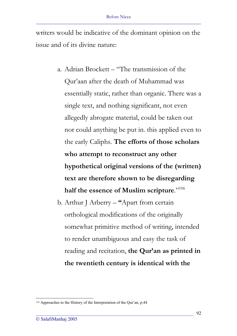writers would be indicative of the dominant opinion on the issue and of its divine nature:

- a. Adrian Brockett "The transmission of the Qur'aan after the death of Muhammad was essentially static, rather than organic. There was a single text, and nothing significant, not even allegedly abrogate material, could be taken out nor could anything be put in. this applied even to the early Caliphs. **The efforts of those scholars who attempt to reconstruct any other hypothetical original versions of the (written) text are therefore shown to be disregarding half the essence of Muslim scripture**."106
- b. Arthur J Arberry **"**Apart from certain orthological modifications of the originally somewhat primitive method of writing, intended to render unambiguous and easy the task of reading and recitation, **the Qur'an as printed in the twentieth century is identical with the**

<sup>106</sup> Approaches to the History of the Interpretation of the Qur'an, p.44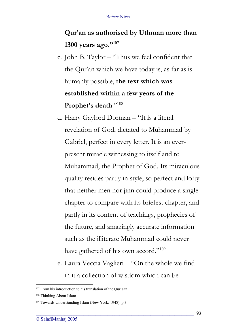# **Qur'an as authorised by Uthman more than 1300 years ago."107**

- c. John B. Taylor "Thus we feel confident that the Qur'an which we have today is, as far as is humanly possible, **the text which was established within a few years of the**  Prophet's death."<sup>108</sup>
- d. Harry Gaylord Dorman "It is a literal revelation of God, dictated to Muhammad by Gabriel, perfect in every letter. It is an everpresent miracle witnessing to itself and to Muhammad, the Prophet of God. Its miraculous quality resides partly in style, so perfect and lofty that neither men nor jinn could produce a single chapter to compare with its briefest chapter, and partly in its content of teachings, prophecies of the future, and amazingly accurate information such as the illiterate Muhammad could never have gathered of his own accord."<sup>109</sup>
- e. Laura Veccia Vaglieri "On the whole we find in it a collection of wisdom which can be

<sup>&</sup>lt;sup>107</sup> From his introduction to his translation of the Our'aan

<sup>108</sup> Thinking About Islam

<sup>109</sup> Towards Understanding Islam (New York: 1948), p.3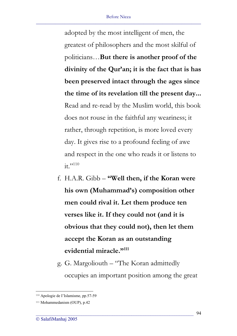adopted by the most intelligent of men, the greatest of philosophers and the most skilful of politicians…**But there is another proof of the divinity of the Qur'an; it is the fact that is has been preserved intact through the ages since the time of its revelation till the present day...** Read and re-read by the Muslim world, this book does not rouse in the faithful any weariness; it rather, through repetition, is more loved every day. It gives rise to a profound feeling of awe and respect in the one who reads it or listens to it."<sup>110</sup>

- f. H.A.R. Gibb **"Well then, if the Koran were his own (Muhammad's) composition other men could rival it. Let them produce ten verses like it. If they could not (and it is obvious that they could not), then let them accept the Koran as an outstanding evidential miracle."111**
- g. G. Margoliouth "The Koran admittedly occupies an important position among the great

<sup>110</sup> Apologie de I'Islamisme, pp.57-59

<sup>111</sup> Mohammedanism (OUP), p.42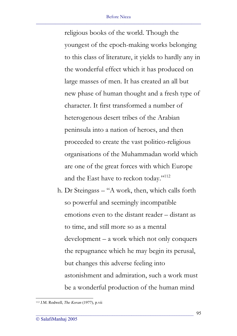#### Before Nicea \_\_\_\_\_\_\_\_\_\_\_\_\_\_\_\_\_\_\_\_\_\_\_\_\_\_\_\_\_\_\_\_\_\_\_\_\_\_\_\_\_\_\_\_\_\_\_\_\_\_\_\_\_\_\_\_\_\_\_\_\_\_\_\_\_\_\_\_\_

religious books of the world. Though the youngest of the epoch-making works belonging to this class of literature, it yields to hardly any in the wonderful effect which it has produced on large masses of men. It has created an all but new phase of human thought and a fresh type of character. It first transformed a number of heterogenous desert tribes of the Arabian peninsula into a nation of heroes, and then proceeded to create the vast politico-religious organisations of the Muhammadan world which are one of the great forces with which Europe and the East have to reckon today."<sup>112</sup>

h. Dr Steingass – "A work, then, which calls forth so powerful and seemingly incompatible emotions even to the distant reader – distant as to time, and still more so as a mental development – a work which not only conquers the repugnance which he may begin its perusal, but changes this adverse feeling into astonishment and admiration, such a work must be a wonderful production of the human mind

<sup>112</sup> J.M. Rodwell, *The Koran* (1977), p.vii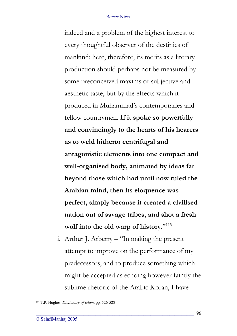indeed and a problem of the highest interest to every thoughtful observer of the destinies of mankind; here, therefore, its merits as a literary production should perhaps not be measured by some preconceived maxims of subjective and aesthetic taste, but by the effects which it produced in Muhammad's contemporaries and fellow countrymen. **If it spoke so powerfully and convincingly to the hearts of his hearers as to weld hitherto centrifugal and antagonistic elements into one compact and well-organised body, animated by ideas far beyond those which had until now ruled the Arabian mind, then its eloquence was perfect, simply because it created a civilised nation out of savage tribes, and shot a fresh wolf into the old warp of history**."113

i. Arthur J. Arberry – "In making the present attempt to improve on the performance of my predecessors, and to produce something which might be accepted as echoing however faintly the sublime rhetoric of the Arabic Koran, I have

<sup>113</sup> T.P. Hughes, *Dictionary of Islam*, pp. 526-528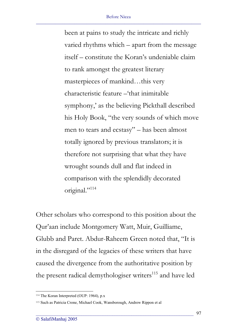been at pains to study the intricate and richly varied rhythms which – apart from the message itself – constitute the Koran's undeniable claim to rank amongst the greatest literary masterpieces of mankind…this very characteristic feature –'that inimitable symphony,' as the believing Pickthall described his Holy Book, "the very sounds of which move men to tears and ecstasy" – has been almost totally ignored by previous translators; it is therefore not surprising that what they have wrought sounds dull and flat indeed in comparison with the splendidly decorated original."<sup>114</sup>

Other scholars who correspond to this position about the Qur'aan include Montgomery Watt, Muir, Guilliame, Glubb and Paret. Abdur-Raheem Green noted that, "It is in the disregard of the legacies of these writers that have caused the divergence from the authoritative position by the present radical demythologiser writers<sup>115</sup> and have led

<sup>114</sup> The Koran Interpreted (OUP: 1964), p.x

<sup>115</sup> Such as Patricia Crone, Michael Cook, Wansborough, Andrew Rippon et al